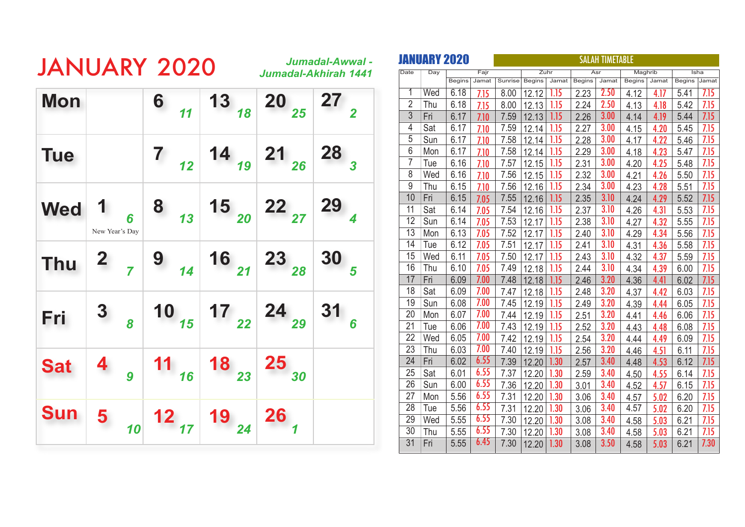|            |                                |   | <b>JANUARY 2020</b>                                                                           |                                                                                                                       |                  | Jumadal-Awwal -<br>Jumadal-Akhirah 1441 |
|------------|--------------------------------|---|-----------------------------------------------------------------------------------------------|-----------------------------------------------------------------------------------------------------------------------|------------------|-----------------------------------------|
| <b>Mon</b> |                                |   |                                                                                               | 6 $13 \n\begin{array}{ c c c }\n\hline\n & 13 \n\end{array}$ 20 $\n\begin{array}{ c c }\n\hline\n & 27 \n\end{array}$ |                  |                                         |
| <b>Tue</b> |                                |   |                                                                                               | 7 $\begin{array}{ c c c c c c c }\n\hline\n7 & 12 & 19 & 21 & 26 & 28 \\ \hline\n\end{array}$                         |                  |                                         |
| <b>Wed</b> | $\mathbf{1}$<br>New Year's Day | 6 |                                                                                               |                                                                                                                       |                  |                                         |
| <b>Thu</b> |                                |   | 2 $\begin{array}{ c c c c c c c c }\n\hline\n7 & 9 & 14 & 16 & 21 & 23 & 30 & 5\n\end{array}$ |                                                                                                                       |                  |                                         |
| Fri        | 3 <sub>8</sub>                 |   |                                                                                               | 10 $17$ $17$ $22$ $24$ $29$                                                                                           |                  | $\frac{31}{6}$                          |
| <b>Sat</b> | $4\overline{9}$                |   |                                                                                               | <b>11</b> $\begin{array}{ c c }$ 18 $\begin{array}{ c c }$ 25 $\end{array}$                                           |                  |                                         |
| <b>Sun</b> |                                |   | 5 $\frac{1}{10}$ 12 $\frac{1}{17}$ 19 $\frac{1}{24}$                                          |                                                                                                                       | $26\overline{)}$ |                                         |

|                         |     | JANUARY 2020  |       | <b>SALAH TIMETABLE</b> |               |       |               |       |               |       |              |      |
|-------------------------|-----|---------------|-------|------------------------|---------------|-------|---------------|-------|---------------|-------|--------------|------|
| Date                    | Day |               | Fajr  |                        |               | Zuhr  |               | Asr   | Maghrib       |       |              | Isha |
|                         |     | <b>Begins</b> | Jamat | Sunrise                | <b>Begins</b> | Jamat | <b>Begins</b> | Jamat | <b>Begins</b> | Jamat | Begins Jamat |      |
| $\overline{\mathbb{1}}$ | Wed | 6.18          | 7.15  | 8.00                   | 12.12         | 1.15  | 2.23          | 2.50  | 4.12          | 4.17  | 5.41         | 7.15 |
| $\overline{2}$          | Thu | 6.18          | 7.15  | 8.00                   | 12.13         | 1.15  | 2.24          | 2.50  | 4.13          | 4.18  | 5.42         | 7.15 |
| 3                       | Fri | 6.17          | 7.10  | 7.59                   | 12.13         | 1.15  | 2.26          | 3.00  | 4.14          | 4.19  | 5.44         | 7.15 |
| 4                       | Sat | 6.17          | 7.10  | 7.59                   | 12.14         | 1.15  | 2.27          | 3.00  | 4.15          | 4.20  | 5.45         | 7.15 |
| 5                       | Sun | 6.17          | 7.10  | 7.58                   | 12.14         | 1.15  | 2.28          | 3.00  | 4.17          | 4.22  | 5.46         | 7.15 |
| 6                       | Mon | 6.17          | 7.10  | 7.58                   | 12.14         | 1.15  | 2.29          | 3.00  | 4.18          | 4.23  | 5.47         | 7.15 |
| 7                       | Tue | 6.16          | 7.10  | 7.57                   | 12.15         | 1.15  | 2.31          | 3.00  | 4.20          | 4.25  | 5.48         | 7.15 |
| 8                       | Wed | 6.16          | 7.10  | 7.56                   | 12.15         | 1.15  | 2.32          | 3.00  | 4.21          | 4.26  | 5.50         | 7.15 |
| 9                       | Thu | 6.15          | 7.10  | 7.56                   | 12.16         | 1.15  | 2.34          | 3.00  | 4.23          | 4.28  | 5.51         | 7.15 |
| 10                      | Fri | 6.15          | 7.05  | 7.55                   | 12.16         | 1.15  | 2.35          | 3.10  | 4.24          | 4.29  | 5.52         | 7.15 |
| 11                      | Sat | 6.14          | 7.05  | 7.54                   | 12.16         | 1.15  | 2.37          | 3.10  | 4.26          | 4.31  | 5.53         | 7.15 |
| 12                      | Sun | 6.14          | 7.05  | 7.53                   | 12.17         | 1.15  | 2.38          | 3.10  | 4.27          | 4.32  | 5.55         | 7.15 |
| $\overline{13}$         | Mon | 6.13          | 7.05  | 7.52                   | 12.17         | 1.15  | 2.40          | 3.10  | 4.29          | 4.34  | 5.56         | 7.15 |
| 14                      | Tue | 6.12          | 7.05  | 7.51                   | 12.17         | 1.15  | 2.41          | 3.10  | 4.31          | 4.36  | 5.58         | 7.15 |
| 15                      | Wed | 6.11          | 7.05  | 7.50                   | 12.17         | 1.15  | 2.43          | 3.10  | 4.32          | 4.37  | 5.59         | 7.15 |
| 16                      | Thu | 6.10          | 7.05  | 7.49                   | 12.18         | 1.15  | 2.44          | 3.10  | 4.34          | 4.39  | 6.00         | 7.15 |
| $\overline{17}$         | Fri | 6.09          | 7.00  | 7.48                   | 12.18         | 1.15  | 2.46          | 3.20  | 4.36          | 4.41  | 6.02         | 7.15 |
| 18                      | Sat | 6.09          | 7.00  | 7.47                   | 12.18         | 1.15  | 2.48          | 3.20  | 4.37          | 4.42  | 6.03         | 7.15 |
| 19                      | Sun | 6.08          | 7.00  | 7.45                   | 12.19         | 1.15  | 2.49          | 3.20  | 4.39          | 4.44  | 6.05         | 7.15 |
| 20                      | Mon | 6.07          | 7.00  | 7.44                   | 12.19         | 1.15  | 2.51          | 3.20  | 4.41          | 4.46  | 6.06         | 7.15 |
| 21                      | Tue | 6.06          | 7.00  | 7.43                   | 12.19         | 1.15  | 2.52          | 3.20  | 4.43          | 4.48  | 6.08         | 7.15 |
| 22                      | Wed | 6.05          | 7.00  | 7.42                   | 12.19         | 1.15  | 2.54          | 3.20  | 4.44          | 4.49  | 6.09         | 7.15 |
| 23                      | Thu | 6.03          | 7.00  | 7.40                   | 12.19         | 1.15  | 2.56          | 3.20  | 4.46          | 4.51  | 6.11         | 7.15 |
| 24                      | Fri | 6.02          | 6.55  | 7.39                   | 12.20         | 1.30  | 2.57          | 3.40  | 4.48          | 4.53  | 6.12         | 7.15 |
| 25                      | Sat | 6.01          | 6.55  | 7.37                   | 12.20         | 1.30  | 2.59          | 3.40  | 4.50          | 4.55  | 6.14         | 7.15 |
| 26                      | Sun | 6.00          | 6.55  | 7.36                   | 12.20         | 1.30  | 3.01          | 3.40  | 4.52          | 4.57  | 6.15         | 7.15 |
| 27                      | Mon | 5.56          | 6.55  | 7.31                   | 12.20         | 1.30  | 3.06          | 3.40  | 4.57          | 5.02  | 6.20         | 7.15 |
| 28                      | Tue | 5.56          | 6.55  | 7.31                   | 12.20         | 1.30  | 3.06          | 3.40  | 4.57          | 5.02  | 6.20         | 7.15 |
| 29                      | Wed | 5.55          | 6.55  | 7.30                   | 12.20         | 1.30  | 3.08          | 3.40  | 4.58          | 5.03  | 6.21         | 7.15 |
| 30                      | Thu | 5.55          | 6.55  | 7.30                   | 12.20         | 1.30  | 3.08          | 3.40  | 4.58          | 5.03  | 6.21         | 7.15 |
| 31                      | Fri | 5.55          | 6.45  | 7.30                   | 12.20         | 1.30  | 3.08          | 3.50  | 4.58          | 5.03  | 6.21         | 7.30 |
|                         |     |               |       |                        |               |       |               |       |               |       |              |      |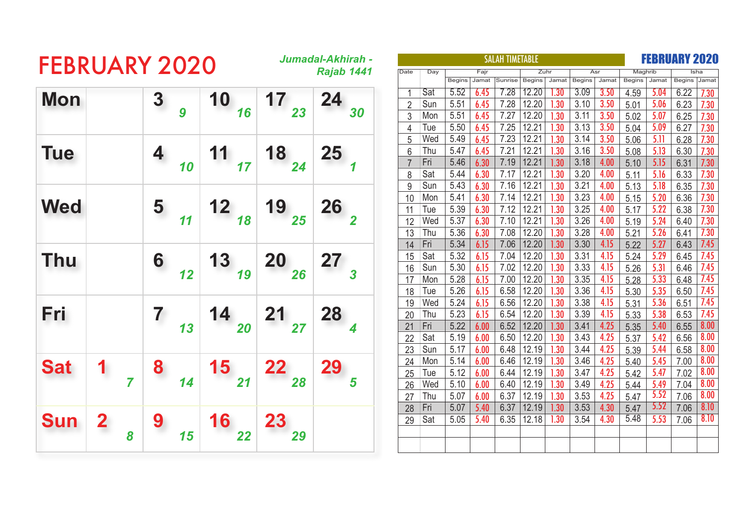| <b>FEBRUARY 2020</b> |              |   |   |    |      |           | Jumadal-Akhirah - |                |     |               |       | <b>SALAH TIMETABLE</b> |        |      |                |             |               |       | <b>FEBRUARY 2020</b> |      |
|----------------------|--------------|---|---|----|------|-----------|-------------------|----------------|-----|---------------|-------|------------------------|--------|------|----------------|-------------|---------------|-------|----------------------|------|
|                      |              |   |   |    |      |           | Rajab 1441        | Date           | Day |               | Fajr  |                        | Zuhr   |      |                | Asr         | Maghrib       |       |                      |      |
|                      |              |   |   |    |      |           |                   |                |     | <b>Begins</b> | Jamat | Sunrise                | Begins |      | Jamat   Begins | Jamat       | <b>Begins</b> | Jamat | <b>Begins</b>        | Jama |
| <b>Mon</b>           |              |   | 3 |    | 10   | 17        | 24                |                | Sat | 5.52          | 6.45  | 7.28                   | 12.20  | 1.30 | 3.09           | <b>3.50</b> | 4.59          | 5.04  | 6.22                 | 7.30 |
|                      |              |   |   | 9  | 16   | 23        | 30                | $\overline{2}$ | Sun | 5.51          | 6.45  | 7.28                   | 12.20  | 1.30 | 3.10           | 3.50        | 5.01          | 5.06  | 6.23                 | 7.30 |
|                      |              |   |   |    |      |           |                   | 3              | Mon | 5.51          | 6.45  | 7.27                   | 12.20  | 1.30 | 3.11           | 3.50        | 5.02          | 5.07  | 6.25                 | 7.30 |
|                      |              |   |   |    |      |           |                   | $\overline{4}$ | Tue | 5.50          | 6.45  | 7.25                   | 12.21  | 1.30 | 3.13           | 3.50        | 5.04          | 5.09  | 6.27                 | 7.30 |
|                      |              |   |   |    |      |           |                   | 5              | Wed | 5.49          | 6.45  | 7.23                   | 12.21  | 1.30 | 3.14           | 3.50        | 5.06          | 5.11  | 6.28                 | 7.30 |
| <b>Tue</b>           |              |   | 4 |    | 11   | 18        | 25                | 6              | Thu | 5.47          | 6.45  | 7.21                   | 12.21  | 1.30 | 3.16           | 3.50        | 5.08          | 5.13  | 6.30                 | 7.30 |
|                      |              |   |   | 10 | 17   | 24        |                   |                | Fri | 5.46          | 6.30  | 7.19                   | 12.21  | 1.30 | 3.18           | 4.00        | 5.10          | 5.15  | 6.31                 | 7.30 |
|                      |              |   |   |    |      |           |                   | 8              | Sat | 5.44          | 6.30  | 7.17                   | 12.21  | 1.30 | 3.20           | 4.00        | 5.11          | 5.16  | 6.33                 | 7.30 |
|                      |              |   |   |    |      |           |                   | 9              | Sun | 5.43          | 6.30  | 7.16                   | 12.21  | 1.30 | 3.21           | 4.00        | 5.13          | 5.18  | 6.35                 | 7.30 |
|                      |              |   |   |    |      |           |                   | 10             | Mon | 5.41          | 6.30  | 7.14                   | 12.21  | 1.30 | 3.23           | 4.00        | 5.15          | 5.20  | 6.36                 | 7.30 |
| <b>Wed</b>           |              |   | 5 |    | $12$ | 19        | 26                | 11             | Tue | 5.39          | 6.30  | 7.12                   | 12.21  | 1.30 | 3.25           | 4.00        | 5.17          | 5.22  | 6.38                 | 7.30 |
|                      |              |   |   | 11 | 18   | 25        |                   | 12             | Wed | 5.37          | 6.30  | 7.10                   | 12.21  | 1.30 | 3.26           | 4.00        | 5.19          | 5.24  | 6.40                 | 7.30 |
|                      |              |   |   |    |      |           |                   | 13             | Thu | 5.36          | 6.30  | 7.08                   | 12.20  | 1.30 | 3.28           | 4.00        | 5.21          | 5.26  | 6.41                 | 7.30 |
|                      |              |   |   |    |      |           |                   | 14             | Fri | 5.34          | 6.15  | 7.06                   | 12.20  | 1.30 | 3.30           | 4.15        | 5.22          | 5.27  | 6.43                 | 7.45 |
| Thu                  |              |   | 6 |    | 13   | 20        | 27                | 15             | Sat | 5.32          | 6.15  | 7.04                   | 12.20  | 1.30 | 3.31           | 4.15        | 5.24          | 5.29  | 6.45                 | 7.45 |
|                      |              |   |   | 12 | 19   | 26        |                   | 16             | Sun | 5.30          | 6.15  | 7.02                   | 12.20  | 1.30 | 3.33           | 4.15        | 5.26          | 5.31  | 6.46                 | 7.45 |
|                      |              |   |   |    |      |           |                   | 17             | Mon | 5.28          | 6.15  | 7.00                   | 12.20  | 1.30 | 3.35           | 4.15        | 5.28          | 5.33  | 6.48                 | 7.45 |
|                      |              |   |   |    |      |           |                   | 18             | Tue | 5.26          | 6.15  | 6.58                   | 12.20  | 1.30 | 3.36           | 4.15        | 5.30          | 5.35  | 6.50                 | 7.45 |
|                      |              |   |   |    |      |           |                   | 19             | Wed | 5.24          | 6.15  | 6.56                   | 12.20  | 1.30 | 3.38           | 4.15        | 5.31          | 5.36  | 6.51                 | 7.45 |
| Fri                  |              |   | 7 |    | 14   | 21        | 28                | 20             | Thu | 5.23          | 6.15  | 6.54                   | 12.20  | 1.30 | 3.39           | 4.15        | 5.33          | 5.38  | 6.53                 | 7.45 |
|                      |              |   |   | 13 | 20   | 27        |                   | 21             | Fri | 5.22          | 6.00  | 6.52                   | 12.20  | 1.30 | 3.41           | 4.25        | 5.35          | 5.40  | 6.55                 | 8.00 |
|                      |              |   |   |    |      |           |                   | 22             | Sat | 5.19          | 6.00  | 6.50                   | 12.20  | 1.30 | 3.43           | 4.25        | 5.37          | 5.42  | 6.56                 | 8.00 |
|                      |              |   |   |    |      |           |                   | 23             | Sun | 5.17          | 6.00  | 6.48                   | 12.19  | 1.30 | 3.44           | 4.25        | 5.39          | 5.44  | 6.58                 | 8.00 |
| <b>Sat</b>           | 1            |   |   |    |      | 22        |                   | 24             | Mon | 5.14          | 6.00  | 6.46                   | 12.19  | 1.30 | 3.46           | 4.25        | 5.40          | 5.45  | 7.00                 | 8.00 |
|                      |              |   | 8 |    | 15   |           | 29                | 25             | Tue | 5.12          | 6.00  | 6.44                   | 12.19  | 1.30 | 3.47           | 4.25        | 5.42          | 5.47  | 7.02                 | 8.00 |
|                      |              | 7 |   | 14 | 21   | 28        |                   | 26             | Wed | 5.10          | 6.00  | 6.40                   | 12.19  | 1.30 | 3.49           | 4.25        | 5.44          | 5.49  | 7.04                 | 8.00 |
|                      |              |   |   |    |      |           |                   | 27             | Thu | 5.07          | 6.00  | 6.37                   | 12.19  | 1.30 | 3.53           | 4.25        | 5.47          | 5.52  | 7.06                 | 8.00 |
|                      |              |   |   |    |      |           |                   | 28             | Fri | 5.07          | 5.40  | 6.37                   | 12.19  | 1.30 | 3.53           | 4.30        | 5.47          | 5.52  | 7.06                 | 8.10 |
| <b>Sun</b>           | $\mathbf{2}$ |   | 9 |    | 16   | <b>23</b> |                   | 29             | Sat | 5.05          | 5.40  | 6.35                   | 12.18  | 1.30 | 3.54           | 4.30        | 5.48          | 5.53  | 7.06                 | 8.10 |
|                      |              | 8 |   | 15 | 22   | 29        |                   |                |     |               |       |                        |        |      |                |             |               |       |                      |      |
|                      |              |   |   |    |      |           |                   |                |     |               |       |                        |        |      |                |             |               |       |                      |      |
|                      |              |   |   |    |      |           |                   |                |     |               |       |                        |        |      |                |             |               |       |                      |      |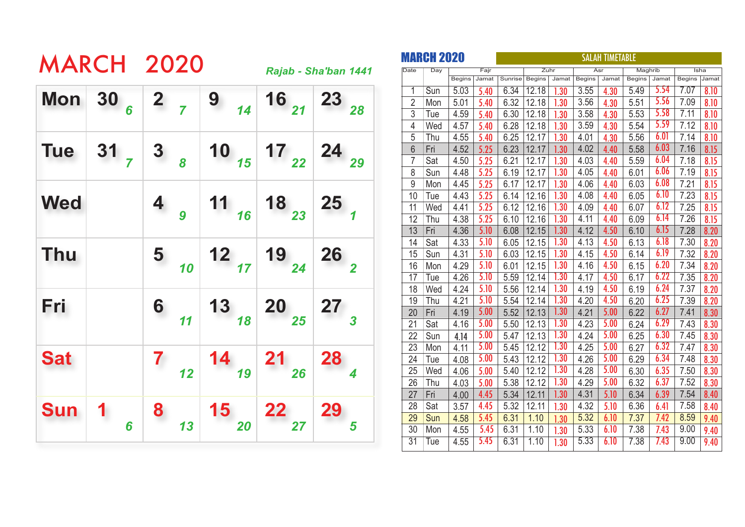|            |                                                                       | <b>MARCH 2020</b> |                                                                                                                             |                                                                                                                                    | Rajab - Sha'ban 1441 |
|------------|-----------------------------------------------------------------------|-------------------|-----------------------------------------------------------------------------------------------------------------------------|------------------------------------------------------------------------------------------------------------------------------------|----------------------|
|            | Mon $30_6$ 2 $_7$                                                     |                   | $\begin{array}{c c} 9 & 14 \end{array}$                                                                                     | $\begin{array}{ c c }\n\hline\n & 16 \\ \hline\n & 21\n\end{array}\n\begin{array}{ c }\n\hline\n 23 \\ \hline\n & 28\n\end{array}$ |                      |
| <b>Tue</b> | $\begin{array}{ c c c c }\n\hline\n31 & 3 & 8 \\ \hline\n\end{array}$ |                   |                                                                                                                             | 10 $\begin{array}{ c c c c c }\n\hline\n & 15 & 17 & 22 & 24 & 29\n\end{array}$                                                    |                      |
| <b>Wed</b> |                                                                       |                   | 4 $\frac{11}{16}$ 18 $\frac{18}{23}$ 25 $\frac{1}{1}$                                                                       |                                                                                                                                    |                      |
| <b>Thu</b> |                                                                       |                   | $\begin{array}{ c c c c c }\n\hline\n & 10 & 12 & 19 & 24 & 26 \\ \hline\n & 10 & 17 & 19 & 24 & 26 \\ \hline\n\end{array}$ |                                                                                                                                    |                      |
| Fri        |                                                                       |                   | 6 $\begin{array}{ c c c c c c }\n\hline\n & 11 & 13 & 20 & 25 & 27 \\ \hline\n & 11 & 18 & 29 & 25 & 3\n\end{array}$        |                                                                                                                                    |                      |
| <b>Sat</b> |                                                                       |                   | $\begin{array}{ c c c c c }\n\hline\n & 12 & 14 & 21 & 28 \\ \hline\n & 12 & 19 & 26 & \hline\n\end{array}$                 |                                                                                                                                    |                      |
| <b>Sun</b> | 6                                                                     |                   | 8 $\begin{array}{ c c c }\n\hline\n & 13 & 15 & 22 \\ \hline\n & 20 & 27 & 27\n\end{array}$                                 |                                                                                                                                    | 29                   |

|                 | <b>MARCH 2020</b> |               |       | <b>SALAH TIMETABLE</b> |               |       |               |       |               |       |               |       |
|-----------------|-------------------|---------------|-------|------------------------|---------------|-------|---------------|-------|---------------|-------|---------------|-------|
| Date            | Day               |               | Fajr  |                        | Zuhr          |       |               | Asr   | Maghrib       |       |               | Isha  |
|                 |                   | <b>Begins</b> | Jamat | Sunrise                | <b>Begins</b> | Jamat | <b>Begins</b> | Jamat | <b>Begins</b> | Jamat | <b>Begins</b> | Jamat |
| $\overline{1}$  | Sun               | 5.03          | 5.40  | 6.34                   | 12.18         | .30   | 3.55          | 4.30  | 5.49          | 5.54  | 7.07          | 8.10  |
| $\overline{2}$  | Mon               | 5.01          | 5.40  | 6.32                   | 12.18         | 1.30  | 3.56          | 4.30  | 5.51          | 5.56  | 7.09          | 8.10  |
| 3               | Tue               | 4.59          | 5.40  | 6.30                   | 12.18         | 1.30  | 3.58          | 4.30  | 5.53          | 5.58  | 7.11          | 8.10  |
| 4               | Wed               | 4.57          | 5.40  | 6.28                   | 12.18         | 1.30  | 3.59          | 4.30  | 5.54          | 5.59  | 7.12          | 8.10  |
| 5               | Thu               | 4.55          | 5.40  | 6.25                   | 12.17         | 1.30  | 4.01          | 4.30  | 5.56          | 6.01  | 7.14          | 8.10  |
| 6               | Fri               | 4.52          | 5.25  | 6.23                   | 12.17         | 1.30  | 4.02          | 4.40  | 5.58          | 6.03  | 7.16          | 8.15  |
| 7               | Sat               | 4.50          | 5.25  | 6.21                   | 12.17         | 1.30  | 4.03          | 4.40  | 5.59          | 6.04  | 7.18          | 8.15  |
| 8               | Sun               | 4.48          | 5.25  | 6.19                   | 12.17         | 1.30  | 4.05          | 4.40  | 6.01          | 6.06  | 7.19          | 8.15  |
| 9               | Mon               | 4.45          | 5.25  | 6.17                   | 12.17         | 1.30  | 4.06          | 4.40  | 6.03          | 6.08  | 7.21          | 8.15  |
| 10              | Tue               | 4.43          | 5.25  | 6.14                   | 12.16         | 1.30  | 4.08          | 4.40  | 6.05          | 6.10  | 7.23          | 8.15  |
| 11              | Wed               | 4.41          | 5.25  | 6.12                   | 12.16         | 1.30  | 4.09          | 4.40  | 6.07          | 6.12  | 7.25          | 8.15  |
| 12              | Thu               | 4.38          | 5.25  | 6.10                   | 12.16         | 1.30  | 4.11          | 4.40  | 6.09          | 6.14  | 7.26          | 8.15  |
| 13              | Fri               | 4.36          | 5.10  | 6.08                   | 12.15         | 1.30  | 4.12          | 4.50  | 6.10          | 6.15  | 7.28          | 8.20  |
| 14              | Sat               | 4.33          | 5.10  | 6.05                   | 12.15         | 1.30  | 4.13          | 4.50  | 6.13          | 6.18  | 7.30          | 8.20  |
| 15              | Sun               | 4.31          | 5.10  | 6.03                   | 12.15         | 1.30  | 4.15          | 4.50  | 6.14          | 6.19  | 7.32          | 8.20  |
| 16              | Mon               | 4.29          | 5.10  | 6.01                   | 12.15         | 1.30  | 4.16          | 4.50  | 6.15          | 6.20  | 7.34          | 8.20  |
| $1\overline{7}$ | Tue               | 4.26          | 5.10  | 5.59                   | 12.14         | 1.30  | 4.17          | 4.50  | 6.17          | 6.22  | 7.35          | 8.20  |
| 18              | Wed               | 4.24          | 5.10  | 5.56                   | 12.14         | 1.30  | 4.19          | 4.50  | 6.19          | 6.24  | 7.37          | 8.20  |
| 19              | Thu               | 4.21          | 5.10  | 5.54                   | 12.14         | 1.30  | 4.20          | 4.50  | 6.20          | 6.25  | 7.39          | 8.20  |
| 20              | Fri               | 4.19          | 5.00  | 5.52                   | 12.13         | 1.30  | 4.21          | 5.00  | 6.22          | 6.27  | 7.41          | 8.30  |
| 21              | Sat               | 4.16          | 5.00  | 5.50                   | 12.13         | 1.30  | 4.23          | 5.00  | 6.24          | 6.29  | 7.43          | 8.30  |
| 22              | Sun               | 4.14          | 5.00  | 5.47                   | 12.13         | 1.30  | 4.24          | 5.00  | 6.25          | 6.30  | 7.45          | 8.30  |
| 23              | Mon               | 4.11          | 5.00  | 5.45                   | 12.12         | 1.30  | 4.25          | 5.00  | 6.27          | 6.32  | 7.47          | 8.30  |
| 24              | Tue               | 4.08          | 5.00  | 5.43                   | 12.12         | 1.30  | 4.26          | 5.00  | 6.29          | 6.34  | 7.48          | 8.30  |
| 25              | Wed               | 4.06          | 5.00  | 5.40                   | 12.12         | 1.30  | 4.28          | 5.00  | 6.30          | 6.35  | 7.50          | 8.30  |
| 26              | Thu               | 4.03          | 5.00  | 5.38                   | 12.12         | 1.30  | 4.29          | 5.00  | 6.32          | 6.37  | 7.52          | 8.30  |
| 27              | Fri               | 4.00          | 4.45  | 5.34                   | 12.11         | 1.30  | 4.31          | 5.10  | 6.34          | 6.39  | 7.54          | 8.40  |
| 28              | Sat               | 3.57          | 4.45  | 5.32                   | 12.11         | 1.30  | 4.32          | 5.10  | 6.36          | 6.41  | 7.58          | 8.40  |
| 29              | Sun               | 4.58          | 5.45  | 6.31                   | 1.10          | 1.30  | 5.32          | 6.10  | 7.37          | 7.42  | 8.59          | 9.40  |
| 30              | Mon               | 4.55          | 5.45  | 6.31                   | 1.10          | 1.30  | 5.33          | 6.10  | 7.38          | 7.43  | 9.00          | 9.40  |
| $\overline{31}$ | Tue               | 4.55          | 5.45  | 6.31                   | 1.10          | 1.30  | 5.33          | 6.10  | 7.38          | 7.43  | 9.00          | 9.40  |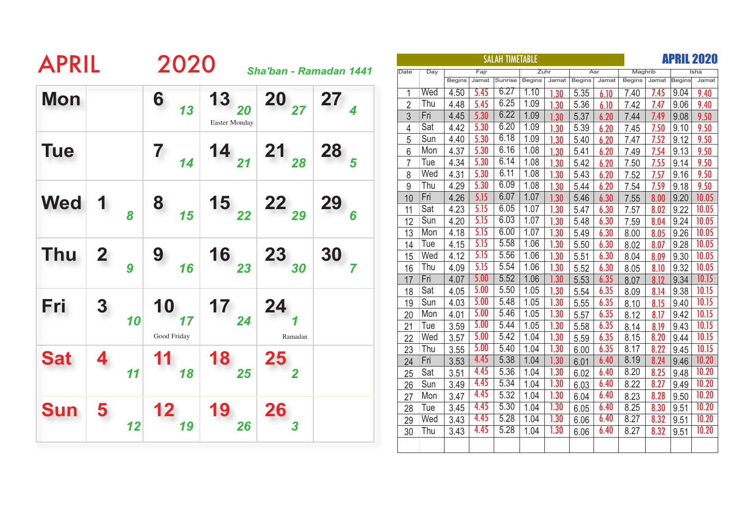| <b>APRIL</b> |                  |    | 2020              |                      |                |                        |                |     |               |       | <b>SALAH TIMETABLE</b> |               |       |               |       |               |       |        | <b>APRIL 2020</b> |
|--------------|------------------|----|-------------------|----------------------|----------------|------------------------|----------------|-----|---------------|-------|------------------------|---------------|-------|---------------|-------|---------------|-------|--------|-------------------|
|              |                  |    |                   |                      |                | Sha'ban - Ramadan 1441 | Date           | Day |               | Fajr  |                        | Zuhr          |       | Asr           |       | Maghrib       |       |        | Isha              |
|              |                  |    |                   |                      |                |                        |                |     | <b>Begins</b> | Jamat | Sunrise                | <b>Begins</b> | Jamat | <b>Begins</b> | Jamat | <b>Begins</b> | Jamat | Begins | Jamat             |
| <b>Mon</b>   |                  |    | 6                 | 13                   | <b>20</b>      | 27                     | $\overline{1}$ | Wed | 4.50          | 5.45  | 6.27                   | 1.10          | 1.30  | 5.35          | 6.10  | 7.40          | 7.45  | 9.04   | 9.40              |
|              |                  |    | 13                | 20                   | 27             |                        | $\overline{2}$ | Thu | 4.48          | 5.45  | 6.25                   | 1.09          | 1.30  | 5.36          | 6.10  | 7.42          | 7.47  | 9.06   | 9.40              |
|              |                  |    |                   | <b>Easter Monday</b> |                |                        | 3              | Fri | 4.45          | 5.30  | 6.22                   | 1.09          | 1.30  | 5.37          | 6.20  | 7.44          | 7.49  | 9.08   | 9.50              |
|              |                  |    |                   |                      |                |                        | $\overline{4}$ | Sat | 4.42          | 5.30  | 6.20                   | 1.09          | 1.30  | 5.39          | 6.20  | 7.45          | 7.50  | 9.10   | 9.50              |
|              |                  |    |                   |                      |                |                        | 5              | Sun | 4.40          | 5.30  | 6.18                   | 1.09          | 1.30  | 5.40          | 6.20  | 7.47          | 7.52  | 9.12   | 9.50              |
| <b>Tue</b>   |                  |    | 7                 | 14 $\frac{1}{21}$    | 21             | 28                     | 6              | Mon | 4.37          | 5.30  | 6.16                   | 1.08          | 1.30  | 5.41          | 6.20  | 7.49          | 7.54  | 9.13   | 9.50              |
|              |                  |    | 14                |                      | 28             |                        |                | Tue | 4.34          | 5.30  | 6.14                   | 1.08          | 1.30  | 5.42          | 6.20  | 7.50          | 7.55  | 9.14   | 9.50              |
|              |                  |    |                   |                      |                |                        | 8              | Wed | 4.31          | 5.30  | 6.11                   | 1.08          | 1.30  | 5.43          | 6.20  | 7.52          | 7.57  | 9.16   | 9.50              |
|              |                  |    |                   |                      |                |                        | 9              | Thu | 4.29          | 5.30  | 6.09                   | 1.08          | 1.30  | 5.44          | 6.20  | 7.54          | 7.59  | 9.18   | 9.50              |
| <b>Wed</b>   | 1                |    | 8                 | 15                   | 22             | 29                     | 10             | Fri | 4.26          | 5.15  | 6.07                   | 1.07          | 1.30  | 5.46          | 6.30  | 7.55          | 8.00  | 9.20   | 10.05             |
|              |                  | 8  | 15                | 22                   | 29             | 6                      | 11             | Sat | 4.23          | 5.15  | 6.05                   | 1.07          | 1.30  | 5.47          | 6.30  | 7.57          | 8.02  | 9.22   | 10.05             |
|              |                  |    |                   |                      |                |                        | 12             | Sun | 4.20          | 5.15  | 6.03                   | 1.07          | 1.30  | 5.48          | 6.30  | 7.59          | 8.04  | 9.24   | 10.05             |
|              |                  |    |                   |                      |                |                        | 13             | Mon | 4.18          | 5.15  | 6.00                   | 1.07          | 1.30  | 5.49          | 6.30  | 8.00          | 8.05  | 9.26   | 10.05             |
|              |                  |    |                   |                      |                |                        | 14             | Tue | 4.15          | 5.15  | 5.58                   | 1.06          | 1.30  | 5.50          | 6.30  | 8.02          | 8.07  | 9.28   | 10.05             |
| <b>Thu</b>   | $\mathbf 2$      |    | 9                 | 16                   | 23             | 30                     | 15             | Wed | 4.12          | 5.15  | 5.56                   | 1.06          | 1.30  | 5.51          | 6.30  | 8.04          | 8.09  | 9.30   | 10.05             |
|              |                  | 9  | 16                | 23                   | 30             |                        | 16             | Thu | 4.09          | 5.15  | 5.54                   | 1.06          | 1.30  | 5.52          | 6.30  | 8.05          | 8.10  | 9.32   | 10.05             |
|              |                  |    |                   |                      |                |                        | 17             | Fri | 4.07          | 5.00  | 5.52                   | 1.06          | 1.30  | 5.53          | 6.35  | 8.07          | 8.12  | 9.34   | 10.15             |
|              |                  |    |                   |                      |                |                        | 18             | Sat | 4.05          | 5.00  | 5.50                   | 1.05          | 1.30  | 5.54          | 6.35  | 8.09          | 8.14  | 9.38   | 10.15             |
| Fri          | $\boldsymbol{3}$ |    | 10                | 17                   | 24             |                        | 19             | Sun | 4.03          | 5.00  | 5.48                   | 1.05          | 1.30  | 5.55          | 6.35  | 8.10          | 8.15  | 9.40   | 10.15             |
|              |                  | 10 | 17                | 24                   |                |                        | 20             | Mon | 4.01          | 5.00  | 5.46                   | 1.05          | 1.30  | 5.57          | 6.35  | 8.12          | 8.17  | 9.42   | 10.15             |
|              |                  |    |                   |                      |                |                        | 21             | Tue | 3.59          | 5.00  | 5.44                   | 1.05          | 1.30  | 5.58          | 6.35  | 8.14          | 8.19  | 9.43   | 10.15             |
|              |                  |    | Good Friday       |                      | Ramadan        |                        | 22             | Wed | 3.57          | 5.00  | 5.42                   | 1.04          | 1.30  | 5.59          | 6.35  | 8.15          | 8.20  | 9.44   | 10.15             |
| <b>Sat</b>   |                  |    | 11                | 18                   | 25             |                        | 23             | Thu | 3.55          | 5.00  | 5.40                   | 1.04          | 1.30  | 6.00          | 6.35  | 8.17          | 8.22  | 9.45   | 10.15             |
|              |                  |    |                   |                      |                |                        | 24             | Fri | 3.53          | 4.45  | 5.38                   | 1.04          | 1.30  | 6.01          | 6.40  | 8.19          | 8.24  | 9.46   | 10.20             |
|              |                  | 11 | 18                | 25                   | $\overline{2}$ |                        | 25             | Sat | 3.51          | 4.45  | 5.36                   | 1.04          | 1.30  | 6.02          | 6.40  | 8.20          | 8.25  | 9.48   | 10.20             |
|              |                  |    |                   |                      |                |                        | 26             | Sun | 3.49          | 4.45  | 5.34                   | 1.04          | 1.30  | 6.03          | 6.40  | 8.22          | 8.27  | 9.49   | 10.20             |
|              |                  |    |                   |                      |                |                        | 27             | Mon | 3.47          | 4.45  | 5.32                   | 1.04          | 1.30  | 6.04          | 6.40  | 8.23          | 8.28  | 9.50   | 10.20             |
| <b>Sun</b>   | 5                |    | $12 \ \mathsf{ }$ | 19                   | 26             |                        | 28             | Tue | 3.45          | 4.45  | 5.30                   | 1.04          | 1.30  | 6.05          | 6.40  | 8.25          | 8.30  | 9.51   | 10.20             |
|              |                  | 12 | 19                | 26                   |                |                        | 29             | Wed | 3.43          | 4.45  | 5.28                   | 1.04          | 1.30  | 6.06          | 6.40  | 8.27          | 8.32  | 9.51   | 10.20             |
|              |                  |    |                   |                      |                |                        | 30             | Thu | 3.43          | 4.45  | 5.28                   | 1.04          | 1.30  | 6.06          | 6.40  | 8.27          | 8.32  | 9.51   | 10.20             |
|              |                  |    |                   |                      |                |                        |                |     |               |       |                        |               |       |               |       |               |       |        |                   |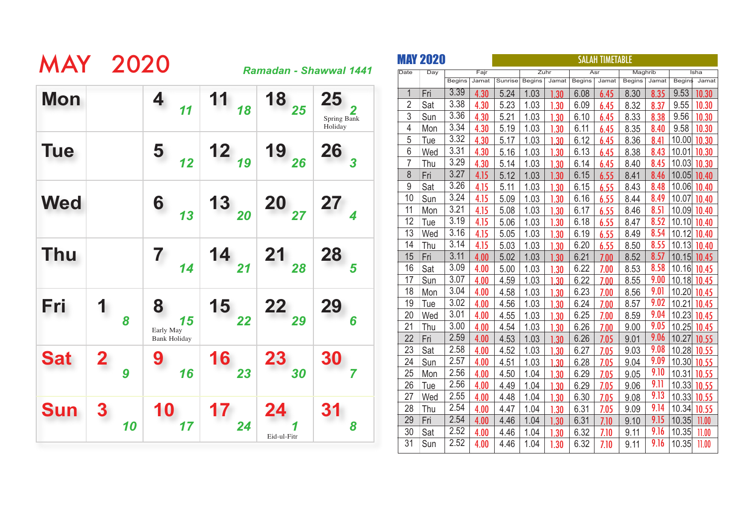| <b>MAY 2020</b> |              |    |                                             |                      |                                                                 | Ramadan - Shawwal 1441       |
|-----------------|--------------|----|---------------------------------------------|----------------------|-----------------------------------------------------------------|------------------------------|
| <b>Mon</b>      |              |    | 4<br>11                                     | 11<br>18             | 18<br>25                                                        | 25<br>Spring Bank<br>Holiday |
| <b>Tue</b>      |              |    | 5<br>12                                     | $12_{19}$            | $19_{26}$                                                       | <b>26</b><br>$\overline{3}$  |
| <b>Wed</b>      |              |    | 6<br>13                                     | 13<br>$\frac{1}{20}$ | $2027$                                                          | 27                           |
| Thu             |              |    | 7<br>14                                     | $14_{21}$            | $\begin{array}{c} \n \textbf{21} \\  \textbf{28}\n \end{array}$ | 28<br>5                      |
| Fri             | 1            | 8  | 8<br>15<br>Early May<br><b>Bank Holiday</b> | <b>15</b><br>22      | $22$ <sub>29</sub>                                              | 29<br>6                      |
| <b>Sat</b>      | $\mathbf{Z}$ | 9  | 16                                          | 16<br>23             | <b>23</b><br>30                                                 | 30                           |
| <b>Sun</b>      |              | 10 | 10<br>17                                    | 24                   | 24<br>Eid-ul-Fitr                                               | 8                            |

|                | <b>MAY 2020</b> |               |       | <b>SALAH TIMETABLE</b> |               |       |               |       |               |       |             |       |  |
|----------------|-----------------|---------------|-------|------------------------|---------------|-------|---------------|-------|---------------|-------|-------------|-------|--|
| Date           | Day             |               | Fajr  |                        |               | Zuhr  |               | Asr   | Maghrib       |       |             | Isha  |  |
|                |                 | <b>Begins</b> | Jamat | Sunrise                | <b>Begins</b> | Jamat | <b>Begins</b> | Jamat | <b>Begins</b> | Jamat | Begins      | Jamat |  |
| 1              | Fri             | 3.39          | 4.30  | 5.24                   | 1.03          | .30   | 6.08          | 6.45  | 8.30          | 8.35  | 9.53        | 10.30 |  |
| $\overline{2}$ | Sat             | 3.38          | 4.30  | 5.23                   | 1.03          | 1.30  | 6.09          | 6.45  | 8.32          | 8.37  | 9.55        | 10.30 |  |
| 3              | Sun             | 3.36          | 4.30  | 5.21                   | 1.03          | 1.30  | 6.10          | 6.45  | 8.33          | 8.38  | 9.56        | 10.30 |  |
| $\overline{4}$ | Mon             | 3.34          | 4.30  | 5.19                   | 1.03          | 1.30  | 6.11          | 6.45  | 8.35          | 8.40  | 9.58        | 10.30 |  |
| 5              | Tue             | 3.32          | 4.30  | 5.17                   | 1.03          | 1.30  | 6.12          | 6.45  | 8.36          | 8.41  | 10.00       | 10.30 |  |
| 6              | Wed             | 3.31          | 4.30  | 5.16                   | 1.03          | 1.30  | 6.13          | 6.45  | 8.38          | 8.43  | 10.01       | 10.30 |  |
| $\overline{7}$ | Thu             | 3.29          | 4.30  | 5.14                   | 1.03          | 1.30  | 6.14          | 6.45  | 8.40          | 8.45  | 10.03       | 10.30 |  |
| 8              | Fri             | 3.27          | 4.15  | 5.12                   | 1.03          | 1.30  | 6.15          | 6.55  | 8.41          | 8.46  | 10.05       | 10.40 |  |
| 9              | Sat             | 3.26          | 4.15  | 5.11                   | 1.03          | 1.30  | 6.15          | 6.55  | 8.43          | 8.48  | 10.06       | 10.40 |  |
| 10             | Sun             | 3.24          | 4.15  | 5.09                   | 1.03          | 1.30  | 6.16          | 6.55  | 8.44          | 8.49  | 10.07       | 10.40 |  |
| 11             | Mon             | 3.21          | 4.15  | 5.08                   | 1.03          | 1.30  | 6.17          | 6.55  | 8.46          | 8.51  | 10.09       | 10.40 |  |
| 12             | Tue             | 3.19          | 4.15  | 5.06                   | 1.03          | 1.30  | 6.18          | 6.55  | 8.47          | 8.52  | 10.10       | 10.40 |  |
| 13             | Wed             | 3.16          | 4.15  | 5.05                   | 1.03          | 1.30  | 6.19          | 6.55  | 8.49          | 8.54  | 10.12       | 10.40 |  |
| 14             | Thu             | 3.14          | 4.15  | 5.03                   | 1.03          | 1.30  | 6.20          | 6.55  | 8.50          | 8.55  | 10.13       | 10.40 |  |
| 15             | Fri             | 3.11          | 4.00  | 5.02                   | 1.03          | 1.30  | 6.21          | 7.00  | 8.52          | 8.57  | 10.15       | 10.45 |  |
| 16             | Sat             | 3.09          | 4.00  | 5.00                   | 1.03          | 1.30  | 6.22          | 7.00  | 8.53          | 8.58  | 10.16       | 10.45 |  |
| 17             | Sun             | 3.07          | 4.00  | 4.59                   | 1.03          | 1.30  | 6.22          | 7.00  | 8.55          | 9.00  | 10.18       | 10.45 |  |
| 18             | Mon             | 3.04          | 4.00  | 4.58                   | 1.03          | 1.30  | 6.23          | 7.00  | 8.56          | 9.01  | 10.20       | 10.45 |  |
| 19             | <b>Tue</b>      | 3.02          | 4.00  | 4.56                   | 1.03          | 1.30  | 6.24          | 7.00  | 8.57          | 9.02  | 10.21       | 10.45 |  |
| 20             | Wed             | 3.01          | 4.00  | 4.55                   | 1.03          | 1.30  | 6.25          | 7.00  | 8.59          | 9.04  | 10.23       | 10.45 |  |
| 21             | Thu             | 3.00          | 4.00  | 4.54                   | 1.03          | 1.30  | 6.26          | 7.00  | 9.00          | 9.05  | 10.25       | 10.45 |  |
| 22             | Fri             | 2.59          | 4.00  | 4.53                   | 1.03          | 1.30  | 6.26          | 7.05  | 9.01          | 9.06  | 10.27       | 10.55 |  |
| 23             | Sat             | 2.58          | 4.00  | 4.52                   | 1.03          | 1.30  | 6.27          | 7.05  | 9.03          | 9.08  | 10.28 10.55 |       |  |
| 24             | Sun             | 2.57          | 4.00  | 4.51                   | 1.03          | 1.30  | 6.28          | 7.05  | 9.04          | 9.09  | 10.30       | 10.55 |  |
| 25             | Mon             | 2.56          | 4.00  | 4.50                   | 1.04          | 1.30  | 6.29          | 7.05  | 9.05          | 9.10  | 10.31       | 10.55 |  |
| 26             | Tue             | 2.56          | 4.00  | 4.49                   | 1.04          | 1.30  | 6.29          | 7.05  | 9.06          | 9.11  | 10.33       | 10.55 |  |
| 27             | Wed             | 2.55          | 4.00  | 4.48                   | 1.04          | 1.30  | 6.30          | 7.05  | 9.08          | 9.13  | 10.33       | 10.55 |  |
| 28             | Thu             | 2.54          | 4.00  | 4.47                   | 1.04          | 1.30  | 6.31          | 7.05  | 9.09          | 9.14  | 10.34       | 10.55 |  |
| 29             | Fri             | 2.54          | 4.00  | 4.46                   | 1.04          | 1.30  | 6.31          | 7.10  | 9.10          | 9.15  | 10.35       | 11.00 |  |
| 30             | Sat             | 2.52          | 4.00  | 4.46                   | 1.04          | 1.30  | 6.32          | 7.10  | 9.11          | 9.16  | 10.35       | 11.00 |  |
| 31             | Sun             | 2.52          | 4.00  | 4.46                   | 1.04          | 1.30  | 6.32          | 7.10  | 9.11          | 9.16  | 10.35       | 11.00 |  |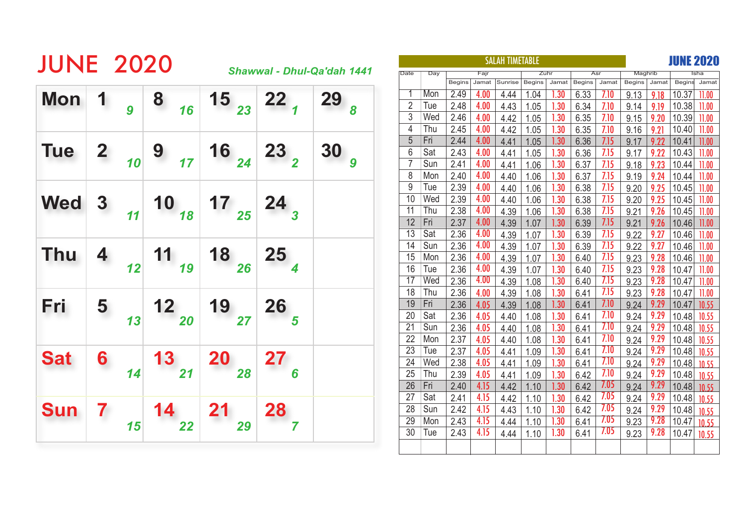| <b>Mon</b> |              |    |    |              | <b>JUNE 2020</b><br>Shawwal - Dhul-Qa'dah 1441 |    |      |     |      |               |       |         |        |       |               |       |               |             |               | <b>JUNE 2020</b> |
|------------|--------------|----|----|--------------|------------------------------------------------|----|------|-----|------|---------------|-------|---------|--------|-------|---------------|-------|---------------|-------------|---------------|------------------|
|            |              |    |    |              |                                                |    | Date |     | Day  |               | Fajr  |         | Zuhr   |       | Asr           |       | Maghrib       |             |               |                  |
|            |              |    |    |              |                                                |    |      |     |      | <b>Begins</b> | Jamat | Sunrise | Begins | Jamat | <b>Begins</b> | Jamat | <b>Begins</b> | Jamat       |               | Begins Jamat     |
|            |              |    | 8  | $15\over 23$ | 22                                             | 29 |      |     | Mon  | 2.49          | 4.00  | 4.44    | 1.04   | 1.30  | 6.33          | 7.10  | 9.13          | 9.18        | 10.37         | 11.00            |
|            |              | 9  | 16 |              |                                                |    |      | 2   | Tue  | 2.48          | 4.00  | 4.43    | 1.05   | 1.30  | 6.34          | 7.10  | 9.14          | 9.19        | 10.38         | 11.00            |
|            |              |    |    |              |                                                |    |      | 3   | Wed  | 2.46          | 4.00  | 4.42    | 1.05   | 1.30  | 6.35          | 7.10  | 9.15          | 9.20        | 10.39 11.00   |                  |
|            |              |    |    |              |                                                |    |      | 4   | Thu  | 2.45          | 4.00  | 4.42    | 1.05   | 1.30  | 6.35          | 7.10  | 9.16          | 9.21        | 10.40 11.00   |                  |
|            |              |    |    |              |                                                |    |      | 5   | Fri  | 2.44          | 4.00  | 4.41    | 1.05   | 1.30  | 6.36          | 7.15  | 9.17          | 9.22        | $10.41$ 11.00 |                  |
| <b>Tue</b> | $\mathbf{2}$ |    | 9  | $16\,24}$    | $23\overline{2}$                               | 30 |      | 6   | Sat  | 2.43          | 4.00  | 4.41    | 1.05   | 1.30  | 6.36          | 7.15  | 9.17          | 9.22        | $10.43$ 11.00 |                  |
|            |              | 10 | 17 |              |                                                |    |      |     | Sun  | 2.41          | 4.00  | 4.41    | 1.06   | 1.30  | 6.37          | 7.15  | 9.18          | 9.23        | 10.44         | 11.00            |
|            |              |    |    |              |                                                |    |      | 8   | Mon  | 2.40          | 4.00  | 4.40    | 1.06   | 1.30  | 6.37          | 7.15  | 9.19          | 9.24        | 10.44         | 11.00            |
|            |              |    |    |              |                                                |    |      | 9   | Tue  | 2.39          | 4.00  | 4.40    | 1.06   | 1.30  | 6.38          | 7.15  | 9.20          | 9.25        | 10.45 11.00   |                  |
| <b>Wed</b> | $\bf{3}$     |    | 10 | 17           |                                                |    |      | 10  | Wed  | 2.39          | 4.00  | 4.40    | 1.06   | 1.30  | 6.38          | 7.15  | 9.20          | 9.25        | $10.45$ 11.00 |                  |
|            |              | 11 | 18 | 25           | $24\over 3$                                    |    |      | 11  | Thu  | 2.38          | 4.00  | 4.39    | 1.06   | 1.30  | 6.38          | 7.15  | 9.21          | 9.26        | 10.45 11.00   |                  |
|            |              |    |    |              |                                                |    |      | 12  | Fri  | 2.37          | 4.00  | 4.39    | 1.07   | 1.30  | 6.39          | 7.15  | 9.21          | 9.26        | $10.46$ 11.00 |                  |
|            |              |    |    |              |                                                |    |      | 13  | Sat  | 2.36          | 4.00  | 4.39    | 1.07   | 1.30  | 6.39          | 7.15  | 9.22          | 9.27        | 10.46         | 11.00            |
|            |              |    |    |              |                                                |    | 14   | Sun | 2.36 | 4.00          | 4.39  | 1.07    | 1.30   | 6.39  | 7.15          | 9.22  | 9.27          | 10.46 11.00 |               |                  |
| <b>Thu</b> |              |    | 11 | 18           | 25                                             |    |      | 15  | Mon  | 2.36          | 4.00  | 4.39    | 1.07   | 1.30  | 6.40          | 7.15  | 9.23          | 9.28        | 10.46 11.00   |                  |
|            |              | 12 | 19 | 26           |                                                |    |      | 16  | Tue  | 2.36          | 4.00  | 4.39    | 1.07   | 1.30  | 6.40          | 7.15  | 9.23          | 9.28        | $10.47$ 11.00 |                  |
|            |              |    |    |              |                                                |    |      | 17  | Wed  | 2.36          | 4.00  | 4.39    | 1.08   | 1.30  | 6.40          | 7.15  | 9.23          | 9.28        | $10.47$ 11.00 |                  |
|            |              |    |    |              |                                                |    |      | 18  | Thu  | 2.36          | 4.00  | 4.39    | 1.08   | 1.30  | 6.41          | 7.15  | 9.23          | 9.28        | $10.47$ 11.00 |                  |
| Fri        | 5            |    | 12 | 19           | 26                                             |    |      | 19  | Fri  | 2.36          | 4.05  | 4.39    | 1.08   | 1.30  | 6.41          | 7.10  | 9.24          | 9.29        | $10.47$ 10.55 |                  |
|            |              | 13 | 20 | 27           |                                                |    |      | 20  | Sat  | 2.36          | 4.05  | 4.40    | 1.08   | 1.30  | 6.41          | 7.10  | 9.24          | 9.29        | 10.48         | 10.55            |
|            |              |    |    |              |                                                |    |      | 21  | Sun  | 2.36          | 4.05  | 4.40    | 1.08   | 1.30  | 6.41          | 7.10  | 9.24          | 9.29        | 10.48         | 10.55            |
|            |              |    |    |              |                                                |    |      | 22  | Mon  | 2.37          | 4.05  | 4.40    | 1.08   | 1.30  | 6.41          | 7.10  | 9.24          | 9.29        | 10.48 10.55   |                  |
|            |              |    |    |              |                                                |    |      | 23  | Tue  | 2.37          | 4.05  | 4.41    | 1.09   | 1.30  | 6.41          | 7.10  | 9.24          | 9.29        | $10.48$ 10.55 |                  |
| <b>Sat</b> | 6            |    | 13 | <b>20</b>    | 27                                             |    |      | 24  | Wed  | 2.38          | 4.05  | 4.41    | 1.09   | 1.30  | 6.41          | 7.10  | 9.24          | 9.29        | $10.48$ 10.55 |                  |
|            |              | 14 | 21 | 28           |                                                |    |      | 25  | Thu  | 2.39          | 4.05  | 4.41    | 1.09   | 1.30  | 6.42          | 7.10  | 9.24          | 9.29        | $10.48$ 10.55 |                  |
|            |              |    |    |              |                                                |    |      | 26  | Fri  | 2.40          | 4.15  | 4.42    | 1.10   | 1.30  | 6.42          | 7.05  | 9.24          | 9.29        | $10.48$ 10.55 |                  |
|            |              |    |    |              |                                                |    |      | 27  | Sat  | 2.41          | 4.15  | 4.42    | 1.10   | 1.30  | 6.42          | 7.05  | 9.24          | 9.29        | 10.48         | 10.55            |
| <b>Sun</b> | 7            |    | 14 | 21           | 28                                             |    |      | 28  | Sun  | 2.42          | 4.15  | 4.43    | 1.10   | 1.30  | 6.42          | 7.05  | 9.24          | 9.29        | $10.48$ 10.55 |                  |
|            |              |    |    |              |                                                |    |      | 29  | Mon  | 2.43          | 4.15  | 4.44    | 1.10   | 1.30  | 6.41          | 7.05  | 9.23          | 9.28        | $10.47$ 10.55 |                  |
|            |              | 15 | 22 | 29           |                                                |    |      | 30  | Tue  | 2.43          | 4.15  | 4.44    | 1.10   | 1.30  | 6.41          | 7.05  | 9.23          | 9.28        | $10.47$ 10.55 |                  |
|            |              |    |    |              |                                                |    |      |     |      |               |       |         |        |       |               |       |               |             |               |                  |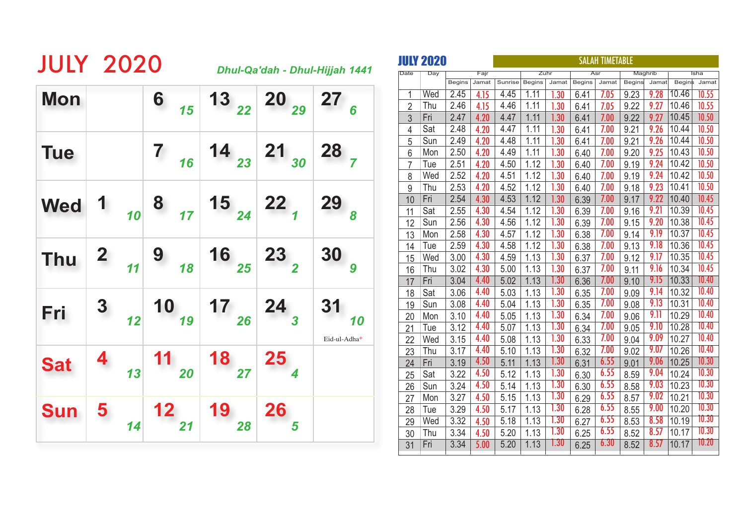| <b>JULY 2020</b> |   |                                                                                         |                                                                                                                |                                                                                              | Dhul-Qa'dah - Dhul-Hijjah 1441 |
|------------------|---|-----------------------------------------------------------------------------------------|----------------------------------------------------------------------------------------------------------------|----------------------------------------------------------------------------------------------|--------------------------------|
| <b>Mon</b>       |   | 6 $15$                                                                                  |                                                                                                                | $\begin{array}{ c c c c c }\n\hline\n & 22 & 20 & 27 \\ \hline\n & 29 & 27 & 6\n\end{array}$ |                                |
| <b>Tue</b>       |   | $\begin{array}{c c} 7 & 16 \end{array}$                                                 |                                                                                                                | $\begin{array}{ c c c c c }\n\hline\n & _{23} & 21 & _{30} & 28 \\ \hline\n\end{array}$      |                                |
| <b>Wed</b>       |   |                                                                                         | 1 $\begin{array}{ c c c c c c c } \hline 1 & 8 & 15 & 24 & 22 \ \hline & 1 & 24 & 22 & 1 \ \hline \end{array}$ |                                                                                              | $29\over s$                    |
| <b>Thu</b>       |   | $\begin{array}{c c c c} \mathbf{2} & \mathbf{9} & \mathbf{18} \end{array}$              | 16 $_{25}$ 23 $_{2}$                                                                                           |                                                                                              | 30                             |
| Fri              |   |                                                                                         | 3 $10_{12}$ 10 $17_{26}$ 24 $_3$                                                                               |                                                                                              | 31<br>Eid-ul-Adha*             |
| <b>Sat</b>       | 4 | $\begin{array}{ c c }\n\hline\n\text{13} & \text{11} \\ \hline\n\text{20}\n\end{array}$ | $\frac{18}{27}$                                                                                                | $\frac{25}{4}$                                                                               |                                |
| <b>Sun</b>       |   | $\begin{array}{c c} 5 & 12 & 19 \\ 14 & 21 & \end{array}$                               | 28                                                                                                             | 26                                                                                           |                                |

|                | <b>JULY 2020</b> |               |       | <b>SALAH TIMETABLE</b> |               |                   |               |       |               |         |               |       |
|----------------|------------------|---------------|-------|------------------------|---------------|-------------------|---------------|-------|---------------|---------|---------------|-------|
| Date           | Day              |               | Fajr  |                        |               | Zuhr              |               | Asr   |               | Maghrib |               | Isha  |
|                |                  | <b>Begins</b> | Jamat | Sunrise                | <b>Begins</b> | Jamat             | <b>Begins</b> | Jamat | <b>Begins</b> | Jamat   | <b>Begins</b> | Jamat |
| 1              | Wed              | 2.45          | 4.15  | 4.45                   | 1.11          | 1.30              | 6.41          | 7.05  | 9.23          | 9.28    | 10.46         | 10.55 |
| $\overline{2}$ | Thu              | 2.46          | 4.15  | 4.46                   | 1.11          | 1.30              | 6.41          | 7.05  | 9.22          | 9.27    | 10.46         | 10.55 |
| 3              | Fri              | 2.47          | 4.20  | 4.47                   | 1.11          | 1.30              | 6.41          | 7.00  | 9.22          | 9.27    | 10.45         | 10.50 |
| 4              | Sat              | 2.48          | 4.20  | 4.47                   | 1.11          | 1.30              | 6.41          | 7.00  | 9.21          | 9.26    | 10.44         | 10.50 |
| $\overline{5}$ | Sun              | 2.49          | 4.20  | 4.48                   | 1.11          | 1.30              | 6.41          | 7.00  | 9.21          | 9.26    | 10.44         | 10.50 |
| 6              | Mon              | 2.50          | 4.20  | 4.49                   | 1.11          | 1.30              | 6.40          | 7.00  | 9.20          | 9.25    | 10.43         | 10.50 |
| 7              | Tue              | 2.51          | 4.20  | 4.50                   | 1.12          | 1.30              | 6.40          | 7.00  | 9.19          | 9.24    | 10.42         | 10.50 |
| 8              | Wed              | 2.52          | 4.20  | 4.51                   | 1.12          | 1.30              | 6.40          | 7.00  | 9.19          | 9.24    | 10.42         | 10.50 |
| 9              | Thu              | 2.53          | 4.20  | 4.52                   | 1.12          | 1.30              | 6.40          | 7.00  | 9.18          | 9.23    | 10.41         | 10.50 |
| 10             | Fri              | 2.54          | 4.30  | 4.53                   | 1.12          | 1.30              | 6.39          | 7.00  | 9.17          | 9.22    | 10.40         | 10.45 |
| 11             | Sat              | 2.55          | 4.30  | 4.54                   | 1.12          | 1.30              | 6.39          | 7.00  | 9.16          | 9.21    | 10.39         | 10.45 |
| 12             | Sun              | 2.56          | 4.30  | 4.56                   | 1.12          | 1.30              | 6.39          | 7.00  | 9.15          | 9.20    | 10.38         | 10.45 |
| 13             | Mon              | 2.58          | 4.30  | 4.57                   | 1.12          | 1.30              | 6.38          | 7.00  | 9.14          | 9.19    | 10.37         | 10.45 |
| 14             | Tue              | 2.59          | 4.30  | 4.58                   | 1.12          | 1.30              | 6.38          | 7.00  | 9.13          | 9.18    | 10.36         | 10.45 |
| 15             | Wed              | 3.00          | 4.30  | 4.59                   | 1.13          | 1.30              | 6.37          | 7.00  | 9.12          | 9.17    | 10.35         | 10.45 |
| 16             | Thu              | 3.02          | 4.30  | 5.00                   | 1.13          | 1.30              | 6.37          | 7.00  | 9.11          | 9.16    | 10.34         | 10.45 |
| 17             | Fri              | 3.04          | 4.40  | 5.02                   | 1.13          | $\overline{1.30}$ | 6.36          | 7.00  | 9.10          | 9.15    | 10.33         | 10.40 |
| 18             | Sat              | 3.06          | 4.40  | 5.03                   | 1.13          | 1.30              | 6.35          | 7.00  | 9.09          | 9.14    | 10.32         | 10.40 |
| 19             | Sun              | 3.08          | 4.40  | 5.04                   | 1.13          | 1.30              | 6.35          | 7.00  | 9.08          | 9.13    | 10.31         | 10.40 |
| 20             | Mon              | 3.10          | 4.40  | 5.05                   | 1.13          | 1.30              | 6.34          | 7.00  | 9.06          | 9.11    | 10.29         | 10.40 |
| 21             | Tue              | 3.12          | 4.40  | 5.07                   | 1.13          | $\overline{1.30}$ | 6.34          | 7.00  | 9.05          | 9.10    | 10.28         | 10.40 |
| 22             | Wed              | 3.15          | 4.40  | 5.08                   | 1.13          | $\overline{1.30}$ | 6.33          | 7.00  | 9.04          | 9.09    | 10.27         | 10.40 |
| 23             | Thu              | 3.17          | 4.40  | 5.10                   | 1.13          | 1.30              | 6.32          | 7.00  | 9.02          | 9.07    | 10.26         | 10.40 |
| 24             | Fri              | 3.19          | 4.50  | 5.11                   | 1.13          | 1.30              | 6.31          | 6.55  | 9.01          | 9.06    | 10.25         | 10.30 |
| 25             | Sat              | 3.22          | 4.50  | 5.12                   | 1.13          | 1.30              | 6.30          | 6.55  | 8.59          | 9.04    | 10.24         | 10.30 |
| 26             | Sun              | 3.24          | 4.50  | 5.14                   | 1.13          | 1.30              | 6.30          | 6.55  | 8.58          | 9.03    | 10.23         | 10.30 |
| 27             | Mon              | 3.27          | 4.50  | 5.15                   | 1.13          | 1.30              | 6.29          | 6.55  | 8.57          | 9.02    | 10.21         | 10.30 |
| 28             | Tue              | 3.29          | 4.50  | 5.17                   | 1.13          | 1.30              | 6.28          | 6.55  | 8.55          | 9.00    | 10.20         | 10.30 |
| 29             | Wed              | 3.32          | 4.50  | 5.18                   | 1.13          | 1.30              | 6.27          | 6.55  | 8.53          | 8.58    | 10.19         | 10.30 |
| 30             | Thu              | 3.34          | 4.50  | 5.20                   | 1.13          | 1.30              | 6.25          | 6.55  | 8.52          | 8.57    | 10.17         | 10.30 |
| 31             | Fri              | 3.34          | 5.00  | 5.20                   | 1.13          | 1.30              | 6.25          | 6.30  | 8.52          | 8.57    | 10.17         | 10.20 |
|                |                  |               |       |                        |               |                   |               |       |               |         |               |       |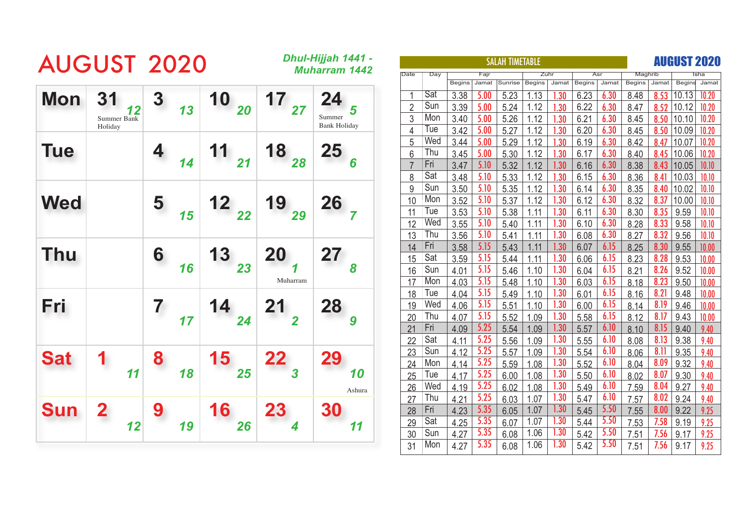|            | <b>AUGUST 2020</b>                        |         |                                         |                       | Dhul-Hijjah 1441 -<br><b>Muharram 1442</b> |
|------------|-------------------------------------------|---------|-----------------------------------------|-----------------------|--------------------------------------------|
| <b>Mon</b> | 31<br>12<br><b>Summer Bank</b><br>Holiday | 3<br>13 | $\begin{array}{c} 10 \\ 20 \end{array}$ | 17<br>$\overline{27}$ | 24<br>5<br>Summer<br><b>Bank Holiday</b>   |
| <b>Tue</b> |                                           | 14      | 11<br>$\overline{21}$                   | $18_{28}$             | <b>25</b><br>$\overline{6}$                |
| <b>Wed</b> |                                           | 5<br>15 | $\begin{array}{c} 12 \\ 22 \end{array}$ | 19<br>29              | $\frac{26}{7}$                             |
| <b>Thu</b> |                                           | 6<br>16 | 13<br>23                                | <b>20</b><br>Muharram | 27<br>8                                    |
| Fri        |                                           | 7<br>17 | 14<br>24                                | 21                    | 28<br>9                                    |
| <b>Sat</b> | 11                                        | 8<br>18 | 15<br>25                                | 22<br>$\overline{3}$  | 29<br>10<br>Ashura                         |
| <b>Sun</b> | 12                                        | 9<br>19 | 16<br>26                                | <b>23</b>             | 30<br>11                                   |

|                |     |               |       | <b>SALAH TIMETABLE</b> |               |       |               |       |               |       |               | <b>AUGUST 2020</b> |
|----------------|-----|---------------|-------|------------------------|---------------|-------|---------------|-------|---------------|-------|---------------|--------------------|
| Date           | Day |               | Fajr  |                        |               | Zuhr  |               | Asr   | Maghrib       |       |               | Isha               |
|                |     | <b>Begins</b> | Jamat | Sunrise                | <b>Begins</b> | Jamat | <b>Begins</b> | Jamat | <b>Begins</b> | Jamat | <b>Begins</b> | Jamat              |
| 1              | Sat | 3.38          | 5.00  | 5.23                   | 1.13          | .30   | 6.23          | 6.30  | 8.48          | 8.53  | 10.13         | 10.20              |
| $\overline{2}$ | Sun | 3.39          | 5.00  | 5.24                   | 1.12          | 1.30  | 6.22          | 6.30  | 8.47          | 8.52  | 10.12         | 10.20              |
| 3              | Mon | 3.40          | 5.00  | 5.26                   | 1.12          | 1.30  | 6.21          | 6.30  | 8.45          | 8.50  | 10.10         | 10.20              |
| 4              | Tue | 3.42          | 5.00  | 5.27                   | 1.12          | 1.30  | 6.20          | 6.30  | 8.45          | 8.50  | 10.09         | 10.20              |
| 5              | Wed | 3.44          | 5.00  | 5.29                   | 1.12          | 1.30  | 6.19          | 6.30  | 8.42          | 8.47  | 10.07         | 10.20              |
| 6              | Thu | 3.45          | 5.00  | 5.30                   | 1.12          | 1.30  | 6.17          | 6.30  | 8.40          | 8.45  | 10.06         | 10.20              |
| $\overline{7}$ | Fri | 3.47          | 5.10  | 5.32                   | 1.12          | 1.30  | 6.16          | 6.30  | 8.38          | 8.43  | 10.05         | 10.10              |
| 8              | Sat | 3.48          | 5.10  | 5.33                   | 1.12          | 1.30  | 6.15          | 6.30  | 8.36          | 8.41  | 10.03         | 10.10              |
| 9              | Sun | 3.50          | 5.10  | 5.35                   | 1.12          | 1.30  | 6.14          | 6.30  | 8.35          | 8.40  | 10.02         | 10.10              |
| 10             | Mon | 3.52          | 5.10  | 5.37                   | 1.12          | 1.30  | 6.12          | 6.30  | 8.32          | 8.37  | 10.00         | 10.10              |
| 11             | Tue | 3.53          | 5.10  | 5.38                   | 1.11          | 1.30  | 6.11          | 6.30  | 8.30          | 8.35  | 9.59          | 10.10              |
| 12             | Wed | 3.55          | 5.10  | 5.40                   | 1.11          | 1.30  | 6.10          | 6.30  | 8.28          | 8.33  | 9.58          | 10.10              |
| 13             | Thu | 3.56          | 5.10  | 5.41                   | 1.11          | 1.30  | 6.08          | 6.30  | 8.27          | 8.32  | 9.56          | 10.10              |
| 14             | Fri | 3.58          | 5.15  | 5.43                   | 1.11          | 1.30  | 6.07          | 6.15  | 8.25          | 8.30  | 9.55          | 10.00              |
| 15             | Sat | 3.59          | 5.15  | 5.44                   | 1.11          | 1.30  | 6.06          | 6.15  | 8.23          | 8.28  | 9.53          | 10.00              |
| 16             | Sun | 4.01          | 5.15  | 5.46                   | 1.10          | 1.30  | 6.04          | 6.15  | 8.21          | 8.26  | 9.52          | 10.00              |
| 17             | Mon | 4.03          | 5.15  | 5.48                   | 1.10          | 1.30  | 6.03          | 6.15  | 8.18          | 8.23  | 9.50          | 10.00              |
| 18             | Tue | 4.04          | 5.15  | 5.49                   | 1.10          | 1.30  | 6.01          | 6.15  | 8.16          | 8.21  | 9.48          | 10.00              |
| 19             | Wed | 4.06          | 5.15  | 5.51                   | 1.10          | 1.30  | 6.00          | 6.15  | 8.14          | 8.19  | 9.46          | 10.00              |
| 20             | Thu | 4.07          | 5.15  | 5.52                   | 1.09          | 1.30  | 5.58          | 6.15  | 8.12          | 8.17  | 9.43          | 10.00              |
| 21             | Fri | 4.09          | 5.25  | 5.54                   | 1.09          | 1.30  | 5.57          | 6.10  | 8.10          | 8.15  | 9.40          | 9.40               |
| 22             | Sat | 4.11          | 5.25  | 5.56                   | 1.09          | 1.30  | 5.55          | 6.10  | 8.08          | 8.13  | 9.38          | 9.40               |
| 23             | Sun | 4.12          | 5.25  | 5.57                   | 1.09          | 1.30  | 5.54          | 6.10  | 8.06          | 8.11  | 9.35          | 9.40               |
| 24             | Mon | 4.14          | 5.25  | 5.59                   | 1.08          | 1.30  | 5.52          | 6.10  | 8.04          | 8.09  | 9.32          | 9.40               |
| 25             | Tue | 4.17          | 5.25  | 6.00                   | 1.08          | 1.30  | 5.50          | 6.10  | 8.02          | 8.07  | 9.30          | 9.40               |
| 26             | Wed | 4.19          | 5.25  | 6.02                   | 1.08          | 1.30  | 5.49          | 6.10  | 7.59          | 8.04  | 9.27          | 9.40               |
| 27             | Thu | 4.21          | 5.25  | 6.03                   | 1.07          | 1.30  | 5.47          | 6.10  | 7.57          | 8.02  | 9.24          | 9.40               |
| 28             | Fri | 4.23          | 5.35  | 6.05                   | 1.07          | 1.30  | 5.45          | 5.50  | 7.55          | 8.00  | 9.22          | 9.25               |
| 29             | Sat | 4.25          | 5.35  | 6.07                   | 1.07          | 1.30  | 5.44          | 5.50  | 7.53          | 7.58  | 9.19          | 9.25               |
| 30             | Sun | 4.27          | 5.35  | 6.08                   | 1.06          | 1.30  | 5.42          | 5.50  | 7.51          | 7.56  | 9.17          | 9.25               |
| 31             | Mon | 4.27          | 5.35  | 6.08                   | 1.06          | 1.30  | 5.42          | 5.50  | 7.51          | 7.56  | 9.17          | 9.25               |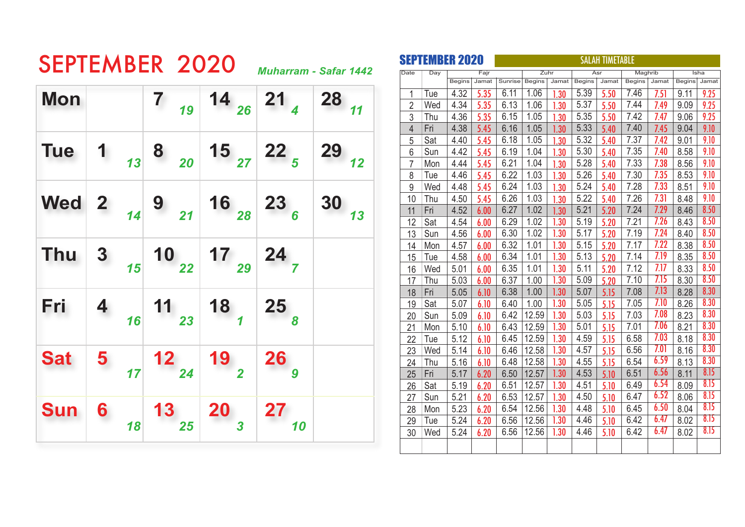| SEPTEMBER 2020 |                              |
|----------------|------------------------------|
|                | <b>Muharram - Safar 1442</b> |

 $\overline{\phantom{a}}$ 

The concerns of the concerns of

|                | <b>SEPTEMBER 2020</b> |               |       |         |               |       | <b>SALAH TIMETABLE</b> |       |               |       |               |       |
|----------------|-----------------------|---------------|-------|---------|---------------|-------|------------------------|-------|---------------|-------|---------------|-------|
| Date           | Day                   |               | Fajr  |         |               | Zuhr  |                        | Asr   | Maghrib       |       |               | Isha  |
|                |                       | <b>Begins</b> | Jamat | Sunrise | <b>Begins</b> | Jamat | <b>Begins</b>          | Jamat | <b>Begins</b> | Jamat | <b>Begins</b> | Jamat |
| 1              | Tue                   | 4.32          | 5.35  | 6.11    | 1.06          | 1.30  | 5.39                   | 5.50  | 7.46          | 7.51  | 9.11          | 9.25  |
| $\overline{2}$ | Wed                   | 4.34          | 5.35  | 6.13    | 1.06          | 1.30  | 5.37                   | 5.50  | 7.44          | 7.49  | 9.09          | 9.25  |
| 3              | Thu                   | 4.36          | 5.35  | 6.15    | 1.05          | 1.30  | 5.35                   | 5.50  | 7.42          | 7.47  | 9.06          | 9.25  |
| 4              | Fri                   | 4.38          | 5.45  | 6.16    | 1.05          | 1.30  | 5.33                   | 5.40  | 7.40          | 7.45  | 9.04          | 9.10  |
| 5              | Sat                   | 4.40          | 5.45  | 6.18    | 1.05          | 1.30  | 5.32                   | 5.40  | 7.37          | 7.42  | 9.01          | 9.10  |
| 6              | Sun                   | 4.42          | 5.45  | 6.19    | 1.04          | 1.30  | 5.30                   | 5.40  | 7.35          | 7.40  | 8.58          | 9.10  |
| $\overline{7}$ | Mon                   | 4.44          | 5.45  | 6.21    | 1.04          | 1.30  | 5.28                   | 5.40  | 7.33          | 7.38  | 8.56          | 9.10  |
| 8              | Tue                   | 4.46          | 5.45  | 6.22    | 1.03          | 1.30  | 5.26                   | 5.40  | 7.30          | 7.35  | 8.53          | 9.10  |
| 9              | Wed                   | 4.48          | 5.45  | 6.24    | 1.03          | 1.30  | 5.24                   | 5.40  | 7.28          | 7.33  | 8.51          | 9.10  |
| 10             | Thu                   | 4.50          | 5.45  | 6.26    | 1.03          | 1.30  | 5.22                   | 5.40  | 7.26          | 7.31  | 8.48          | 9.10  |
| 11             | Fri                   | 4.52          | 6.00  | 6.27    | 1.02          | 1.30  | 5.21                   | 5.20  | 7.24          | 7.29  | 8.46          | 8.50  |
| 12             | Sat                   | 4.54          | 6.00  | 6.29    | 1.02          | 1.30  | 5.19                   | 5.20  | 7.21          | 7.26  | 8.43          | 8.50  |
| 13             | Sun                   | 4.56          | 6.00  | 6.30    | 1.02          | 1.30  | 5.17                   | 5.20  | 7.19          | 7.24  | 8.40          | 8.50  |
| 14             | Mon                   | 4.57          | 6.00  | 6.32    | 1.01          | 1.30  | 5.15                   | 5.20  | 7.17          | 7.22  | 8.38          | 8.50  |
| 15             | Tue                   | 4.58          | 6.00  | 6.34    | 1.01          | 1.30  | 5.13                   | 5.20  | 7.14          | 7.19  | 8.35          | 8.50  |
| 16             | Wed                   | 5.01          | 6.00  | 6.35    | 1.01          | 1.30  | 5.11                   | 5.20  | 7.12          | 7.17  | 8.33          | 8.50  |
| 17             | Thu                   | 5.03          | 6.00  | 6.37    | 1.00          | 1.30  | 5.09                   | 5.20  | 7.10          | 7.15  | 8.30          | 8.50  |
| 18             | Fri                   | 5.05          | 6.10  | 6.38    | 1.00          | 1.30  | 5.07                   | 5.15  | 7.08          | 7.13  | 8.28          | 8.30  |
| 19             | Sat                   | 5.07          | 6.10  | 6.40    | 1.00          | 1.30  | 5.05                   | 5.15  | 7.05          | 7.10  | 8.26          | 8.30  |
| 20             | Sun                   | 5.09          | 6.10  | 6.42    | 12.59         | 1.30  | 5.03                   | 5.15  | 7.03          | 7.08  | 8.23          | 8.30  |
| 21             | Mon                   | 5.10          | 6.10  | 6.43    | 12.59         | 1.30  | 5.01                   | 5.15  | 7.01          | 7.06  | 8.21          | 8.30  |
| 22             | Tue                   | 5.12          | 6.10  | 6.45    | 12.59         | 1.30  | 4.59                   | 5.15  | 6.58          | 7.03  | 8.18          | 8.30  |
| 23             | Wed                   | 5.14          | 6.10  | 6.46    | 12.58         | 1.30  | 4.57                   | 5.15  | 6.56          | 7.01  | 8.16          | 8.30  |
| 24             | Thu                   | 5.16          | 6.10  | 6.48    | 12.58         | 1.30  | 4.55                   | 5.15  | 6.54          | 6.59  | 8.13          | 8.30  |
| 25             | Fri                   | 5.17          | 6.20  | 6.50    | 12.57         | 1.30  | 4.53                   | 5.10  | 6.51          | 6.56  | 8.11          | 8.15  |
| 26             | Sat                   | 5.19          | 6.20  | 6.51    | 12.57         | 1.30  | 4.51                   | 5.10  | 6.49          | 6.54  | 8.09          | 8.15  |
| 27             | Sun                   | 5.21          | 6.20  | 6.53    | 12.57         | 1.30  | 4.50                   | 5.10  | 6.47          | 6.52  | 8.06          | 8.15  |
| 28             | Mon                   | 5.23          | 6.20  | 6.54    | 12.56         | 1.30  | 4.48                   | 5.10  | 6.45          | 6.50  | 8.04          | 8.15  |
| 29             | Tue                   | 5.24          | 6.20  | 6.56    | 12.56         | 1.30  | 4.46                   | 5.10  | 6.42          | 6.47  | 8.02          | 8.15  |
| 30             | Wed                   | 5.24          | 6.20  | 6.56    | 12.56         | 1.30  | 4.46                   | 5.10  | 6.42          | 6.47  | 8.02          | 8.15  |
|                |                       |               |       |         |               |       |                        |       |               |       |               |       |
|                |                       |               |       |         |               |       |                        |       |               |       |               |       |

| <b>Mon</b> |                         |                                                                 |                        | 7 $\begin{array}{ c c c c c }\n\hline\n7 & 19 & 14 & 26 & 21\n\end{array}$                |                     | $28$ <sub>11</sub> |
|------------|-------------------------|-----------------------------------------------------------------|------------------------|-------------------------------------------------------------------------------------------|---------------------|--------------------|
| <b>Tue</b> |                         | $\begin{array}{c c} 1 & 1 \\ 1 & 1 \end{array}$                 |                        | $\begin{array}{c c c c c} 8 & 20 & 15 & 22 \\ \hline & 27 & 22 & 5 \\ \hline \end{array}$ |                     | $29$ $12$          |
|            |                         |                                                                 |                        | Wed 2 $_{14}$ 9 $_{21}$ 16 $_{28}$ 23 $_{6}$                                              |                     | $3013$             |
| <b>Thu</b> | $3\overline{)}$         | $\begin{array}{c c} & & \\ \hline & 15 & \\ \hline \end{array}$ |                        | $\begin{array}{ c c c }\n\hline\n & 17 & 29 & 24 \\ \hline\n\end{array}$                  |                     |                    |
| Fri        | $\overline{\mathbf{4}}$ | 16                                                              |                        | $\begin{array}{c c} 11 & 18 \\ 23 & 1 \end{array}$                                        | $25_{\color{red}8}$ |                    |
| <b>Sat</b> | 5                       | $\frac{1}{17}$                                                  | $\frac{12}{24}$        | $\begin{array}{c} \n \boxed{19} \\ \n \boxed{2}\n \end{array}$                            | $\frac{26}{9}$      |                    |
| <b>Sun</b> | $\boldsymbol{6}$        | 18                                                              | $13\frac{1}{24}$<br>25 | $\frac{20}{3}$                                                                            | 27<br>10            |                    |

<u> 1999 - Jan Albert Barbara, man</u>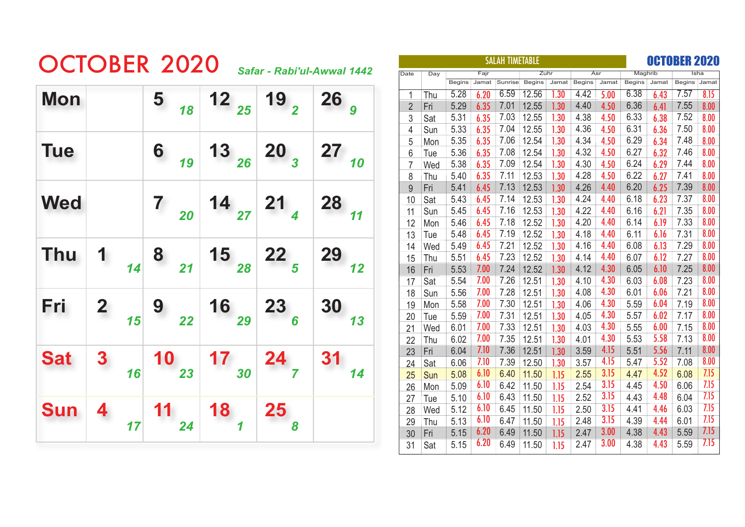## OCTOBER 2020 *Safar - Rabi'ul-Awwal 1442*

| <b>Mon</b> |                         |               | 5 <sub>18</sub>                        |                                         | 12 $_{25}$ 19 $_{2}$                               | $26_g$             |
|------------|-------------------------|---------------|----------------------------------------|-----------------------------------------|----------------------------------------------------|--------------------|
| <b>Tue</b> |                         |               | $\begin{array}{c} 6 \\ 19 \end{array}$ | $13_{26}$                               | $\boxed{20}$                                       | $27$ <sub>10</sub> |
| <b>Wed</b> |                         |               | $\begin{array}{c} 7 \\ 20 \end{array}$ |                                         | $\begin{array}{c c} 14 & 21 \\ 27 & 4 \end{array}$ | $28$ <sub>11</sub> |
| <b>Thu</b> | $\mathbf{1}$            | $\frac{1}{4}$ | $\begin{array}{c} 8 \\ 21 \end{array}$ | $\begin{array}{c} 15 \\ 28 \end{array}$ | $\begin{array}{c} 22 \\ 5 \end{array}$             | 29<br>12           |
| Fri        | $\overline{\mathbf{2}}$ | 15            | 9<br>22                                | $\begin{array}{c} 16 \\ 29 \end{array}$ | $\frac{23}{6}$                                     | 30<br>13           |
| <b>Sat</b> | $\boldsymbol{3}$        | 16            | 10<br>$\overline{\smash{23}}$          | 17<br>30                                | $24\n7\n$                                          | 31<br>14           |
| <b>Sun</b> | 4                       | 17            | 24                                     | $\begin{array}{c} 18 \\ 1 \end{array}$  | $25\,$                                             |                    |

|                |            |               | <b>SALAH TIMETABLE</b> |         |               |       | OCTOBER 2020  |       |               |       |               |       |
|----------------|------------|---------------|------------------------|---------|---------------|-------|---------------|-------|---------------|-------|---------------|-------|
| <b>Date</b>    | Day        |               | Fajr                   |         | Zuhr          |       |               | Asr   | Maghrib       |       |               | Isha  |
|                |            | <b>Begins</b> | Jamat                  | Sunrise | <b>Begins</b> | Jamat | <b>Begins</b> | Jamat | <b>Begins</b> | Jamat | <b>Begins</b> | Jamat |
| 1              | Thu        | 5.28          | 6.20                   | 6.59    | 12.56         | .30   | 4.42          | 5.00  | 6.38          | 6.43  | 7.57          | 8.15  |
| $\overline{2}$ | Fri        | 5.29          | 6.35                   | 7.01    | 12.55         | 1.30  | 4.40          | 4.50  | 6.36          | 6.41  | 7.55          | 8.00  |
| 3              | Sat        | 5.31          | 6.35                   | 7.03    | 12.55         | 1.30  | 4.38          | 4.50  | 6.33          | 6.38  | 7.52          | 8.00  |
| 4              | Sun        | 5.33          | 6.35                   | 7.04    | 12.55         | 1.30  | 4.36          | 4.50  | 6.31          | 6.36  | 7.50          | 8.00  |
| 5              | Mon        | 5.35          | 6.35                   | 7.06    | 12.54         | 1.30  | 4.34          | 4.50  | 6.29          | 6.34  | 7.48          | 8.00  |
| 6              | <b>Tue</b> | 5.36          | 6.35                   | 7.08    | 12.54         | 1.30  | 4.32          | 4.50  | 6.27          | 6.32  | 7.46          | 8.00  |
| $\overline{7}$ | Wed        | 5.38          | 6.35                   | 7.09    | 12.54         | 1.30  | 4.30          | 4.50  | 6.24          | 6.29  | 7.44          | 8.00  |
| 8              | Thu        | 5.40          | 6.35                   | 7.11    | 12.53         | 1.30  | 4.28          | 4.50  | 6.22          | 6.27  | 7.41          | 8.00  |
| 9              | Fri        | 5.41          | 6.45                   | 7.13    | 12.53         | 1.30  | 4.26          | 4.40  | 6.20          | 6.25  | 7.39          | 8.00  |
| 10             | Sat        | 5.43          | 6.45                   | 7.14    | 12.53         | 1.30  | 4.24          | 4.40  | 6.18          | 6.23  | 7.37          | 8.00  |
| 11             | Sun        | 5.45          | 6.45                   | 7.16    | 12.53         | 1.30  | 4.22          | 4.40  | 6.16          | 6.21  | 7.35          | 8.00  |
| 12             | Mon        | 5.46          | 6.45                   | 7.18    | 12.52         | 1.30  | 4.20          | 4.40  | 6.14          | 6.19  | 7.33          | 8.00  |
| 13             | Tue        | 5.48          | 6.45                   | 7.19    | 12.52         | 1.30  | 4.18          | 4.40  | 6.11          | 6.16  | 7.31          | 8.00  |
| 14             | Wed        | 5.49          | 6.45                   | 7.21    | 12.52         | 1.30  | 4.16          | 4.40  | 6.08          | 6.13  | 7.29          | 8.00  |
| 15             | Thu        | 5.51          | 6.45                   | 7.23    | 12.52         | 1.30  | 4.14          | 4.40  | 6.07          | 6.12  | 7.27          | 8.00  |
| 16             | Fri        | 5.53          | 7.00                   | 7.24    | 12.52         | 1.30  | 4.12          | 4.30  | 6.05          | 6.10  | 7.25          | 8.00  |
| 17             | Sat        | 5.54          | 7.00                   | 7.26    | 12.51         | 1.30  | 4.10          | 4.30  | 6.03          | 6.08  | 7.23          | 8.00  |
| 18             | Sun        | 5.56          | 7.00                   | 7.28    | 12.51         | 1.30  | 4.08          | 4.30  | 6.01          | 6.06  | 7.21          | 8.00  |
| 19             | Mon        | 5.58          | 7.00                   | 7.30    | 12.51         | 1.30  | 4.06          | 4.30  | 5.59          | 6.04  | 7.19          | 8.00  |
| 20             | Tue        | 5.59          | 7.00                   | 7.31    | 12.51         | 1.30  | 4.05          | 4.30  | 5.57          | 6.02  | 7.17          | 8.00  |
| 21             | Wed        | 6.01          | 7.00                   | 7.33    | 12.51         | 1.30  | 4.03          | 4.30  | 5.55          | 6.00  | 7.15          | 8.00  |
| 22             | Thu        | 6.02          | 7.00                   | 7.35    | 12.51         | 1.30  | 4.01          | 4.30  | 5.53          | 5.58  | 7.13          | 8.00  |
| 23             | Fri        | 6.04          | 7.10                   | 7.36    | 12.51         | 1.30  | 3.59          | 4.15  | 5.51          | 5.56  | 7.11          | 8.00  |
| 24             | <b>Sat</b> | 6.06          | 7.10                   | 7.39    | 12.50         | 1.30  | 3.57          | 4.15  | 5.47          | 5.52  | 7.08          | 8.00  |
| 25             | <b>Sun</b> | 5.08          | 6.10                   | 6.40    | 11.50         | 1.15  | 2.55          | 3.15  | 4.47          | 4.52  | 6.08          | 7.15  |
| 26             | Mon        | 5.09          | 6.10                   | 6.42    | 11.50         | 1.15  | 2.54          | 3.15  | 4.45          | 4.50  | 6.06          | 7.15  |
| 27             | Tue        | 5.10          | 6.10                   | 6.43    | 11.50         | 1.15  | 2.52          | 3.15  | 4.43          | 4.48  | 6.04          | 7.15  |
| 28             | Wed        | 5.12          | 6.10                   | 6.45    | 11.50         | 1.15  | 2.50          | 3.15  | 4.41          | 4.46  | 6.03          | 7.15  |
| 29             | Thu        | 5.13          | 6.10                   | 6.47    | 11.50         | 1.15  | 2.48          | 3.15  | 4.39          | 4.44  | 6.01          | 7.15  |
| 30             | Fri        | 5.15          | 6.20                   | 6.49    | 11.50         | 1.15  | 2.47          | 3.00  | 4.38          | 4.43  | 5.59          | 7.15  |
| 31             | Sat        | 5.15          | 6.20                   | 6.49    | 11.50         | 1.15  | 2.47          | 3.00  | 4.38          | 4.43  | 5.59          | 7.15  |
|                |            |               |                        |         |               |       |               |       |               |       |               |       |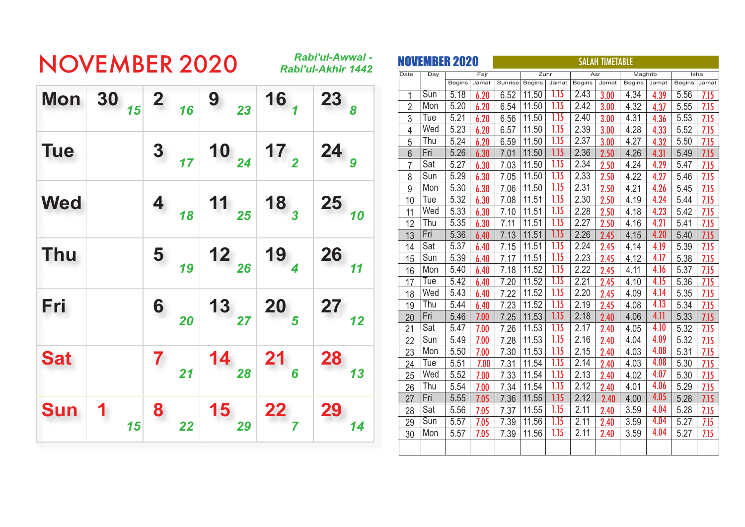## NOVEMBER 2020 *Rabi'ul-Awwal -*

*Rabi'ul-Akhir 1442*

|            | Mon 30 $_{15}$ 2 $_{16}$ 9 $_{23}$ 16 $_{1}$ |                                        |                                                                                                   |                                                                                            | 23 <sub>8</sub>                                                 |
|------------|----------------------------------------------|----------------------------------------|---------------------------------------------------------------------------------------------------|--------------------------------------------------------------------------------------------|-----------------------------------------------------------------|
| <b>Tue</b> |                                              | $3 \n17$                               |                                                                                                   | $\begin{array}{c c} 10 & 17 \\ 24 & 12 \end{array}$                                        | $24_g$                                                          |
| <b>Wed</b> |                                              | $4 \n18$                               |                                                                                                   | $\begin{array}{c c c c c} \hline \end{array}$ 18 $\begin{array}{c c c} \hline \end{array}$ | $25$ <sub>10</sub>                                              |
| <b>Thu</b> |                                              |                                        | $\begin{array}{ c c c c c }\n\hline\n & 19 & 26 & 19 \\ \hline\n & 19 & 4 & 26 & 11\n\end{array}$ |                                                                                            |                                                                 |
| Fri        |                                              | $\begin{array}{c} 6 \\ 20 \end{array}$ |                                                                                                   | $\begin{array}{c c} 13 & 20 \\ 27 & 5 \end{array}$                                         | $\begin{array}{c} \n \textbf{27} \\  \textbf{12}\n \end{array}$ |
| <b>Sat</b> |                                              | $\mathbf{7}$<br>21                     |                                                                                                   | $\begin{array}{c c} 14 & 21 \\ 28 & 6 \end{array}$                                         | <b>28</b><br>13                                                 |
| <b>Sun</b> | $\mathbf{1}$<br>15                           | 8<br>22 <sup>1</sup>                   | $\begin{array}{c} 15 \\ 29 \end{array}$                                                           | $\begin{array}{c} \n \textbf{22} \\  \textbf{7}\n \end{array}$                             | 29<br>14                                                        |

|                 | NOVEMBER 2020 |               |       | <b>SALAH TIMETABLE</b> |               |                   |               |       |               |       |               |       |
|-----------------|---------------|---------------|-------|------------------------|---------------|-------------------|---------------|-------|---------------|-------|---------------|-------|
| Date            | Day           |               | Fajr  |                        |               | Zuhr              |               | Asr   | Maghrib       |       |               | Isha  |
|                 |               | <b>Begins</b> | Jamat | Sunrise                | <b>Begins</b> | Jamat             | <b>Begins</b> | Jamat | <b>Begins</b> | Jamat | <b>Begins</b> | Jamat |
| 1               | Sun           | 5.18          | 6.20  | 6.52                   | 11.50         | 1.15              | 2.43          | 3.00  | 4.34          | 4.39  | 5.56          | 7.15  |
| $\overline{2}$  | Mon           | 5.20          | 6.20  | 6.54                   | 11.50         | 1.15              | 2.42          | 3.00  | 4.32          | 4.37  | 5.55          | 7.15  |
| 3               | Tue           | 5.21          | 6.20  | 6.56                   | 11.50         | 1.15              | 2.40          | 3.00  | 4.31          | 4.36  | 5.53          | 7.15  |
| 4               | Wed           | 5.23          | 6.20  | 6.57                   | 11.50         | 1.15              | 2.39          | 3.00  | 4.28          | 4.33  | 5.52          | 7.15  |
| 5               | Thu           | 5.24          | 6.20  | 6.59                   | 11.50         | 1.15              | 2.37          | 3.00  | 4.27          | 4.32  | 5.50          | 7.15  |
| $6\phantom{.}6$ | Fri           | 5.26          | 6.30  | 7.01                   | 11.50         | 1.15              | 2.36          | 2.50  | 4.26          | 4.31  | 5.49          | 7.15  |
| $\overline{7}$  | Sat           | 5.27          | 6.30  | 7.03                   | 11.50         | 1.15              | 2.34          | 2.50  | 4.24          | 4.29  | 5.47          | 7.15  |
| 8               | Sun           | 5.29          | 6.30  | 7.05                   | 11.50         | 1.15              | 2.33          | 2.50  | 4.22          | 4.27  | 5.46          | 7.15  |
| 9               | Mon           | 5.30          | 6.30  | 7.06                   | 11.50         | 1.15              | 2.31          | 2.50  | 4.21          | 4.26  | 5.45          | 7.15  |
| 10              | Tue           | 5.32          | 6.30  | 7.08                   | 11.51         | 1.15              | 2.30          | 2.50  | 4.19          | 4.24  | 5.44          | 7.15  |
| 11              | Wed           | 5.33          | 6.30  | 7.10                   | 11.51         | 1.15              | 2.28          | 2.50  | 4.18          | 4.23  | 5.42          | 7.15  |
| 12              | Thu           | 5.35          | 6.30  | 7.11                   | 11.51         | 1.15              | 2.27          | 2.50  | 4.16          | 4.21  | 5.41          | 7.15  |
| 13              | Fri           | 5.36          | 6.40  | 7.13                   | 11.51         | 1.15              | 2.26          | 2.45  | 4.15          | 4.20  | 5.40          | 7.15  |
| 14              | Sat           | 5.37          | 6.40  | 7.15                   | 11.51         | 1.15              | 2.24          | 2.45  | 4.14          | 4.19  | 5.39          | 7.15  |
| 15              | Sun           | 5.39          | 6.40  | 7.17                   | 11.51         | 1.15              | 2.23          | 2.45  | 4.12          | 4.17  | 5.38          | 7.15  |
| 16              | Mon           | 5.40          | 6.40  | 7.18                   | 11.52         | 1.15              | 2.22          | 2.45  | 4.11          | 4.16  | 5.37          | 7.15  |
| 17              | Tue           | 5.42          | 6.40  | 7.20                   | 11.52         | 1.15              | 2.21          | 2.45  | 4.10          | 4.15  | 5.36          | 7.15  |
| 18              | Wed           | 5.43          | 6.40  | 7.22                   | 11.52         | 1.15              | 2.20          | 2.45  | 4.09          | 4.14  | 5.35          | 7.15  |
| 19              | Thu           | 5.44          | 6.40  | 7.23                   | 11.52         | 1.15              | 2.19          | 2.45  | 4.08          | 4.13  | 5.34          | 7.15  |
| 20              | Fri           | 5.46          | 7.00  | 7.25                   | 11.53         | 1.15              | 2.18          | 2.40  | 4.06          | 4.11  | 5.33          | 7.15  |
| 21              | Sat           | 5.47          | 7.00  | 7.26                   | 11.53         | 1.15              | 2.17          | 2.40  | 4.05          | 4.10  | 5.32          | 7.15  |
| 22              | Sun           | 5.49          | 7.00  | 7.28                   | 11.53         | 1.15              | 2.16          | 2.40  | 4.04          | 4.09  | 5.32          | 7.15  |
| 23              | Mon           | 5.50          | 7.00  | 7.30                   | 11.53         | $\overline{1.15}$ | 2.15          | 2.40  | 4.03          | 4.08  | 5.31          | 7.15  |
| 24              | Tue           | 5.51          | 7.00  | 7.31                   | 11.54         | 1.15              | 2.14          | 2.40  | 4.03          | 4.08  | 5.30          | 7.15  |
| 25              | Wed           | 5.52          | 7.00  | 7.33                   | 11.54         | 1.15              | 2.13          | 2.40  | 4.02          | 4.07  | 5.30          | 7.15  |
| 26              | Thu           | 5.54          | 7.00  | 7.34                   | 11.54         | 1.15              | 2.12          | 2.40  | 4.01          | 4.06  | 5.29          | 7.15  |
| 27              | Fri           | 5.55          | 7.05  | 7.36                   | 11.55         | 1.15              | 2.12          | 2.40  | 4.00          | 4.05  | 5.28          | 7.15  |
| 28              | Sat           | 5.56          | 7.05  | 7.37                   | 11.55         | 1.15              | 2.11          | 2.40  | 3.59          | 4.04  | 5.28          | 7.15  |
| 29              | Sun           | 5.57          | 7.05  | 7.39                   | 11.56         | 1.15              | 2.11          | 2.40  | 3.59          | 4.04  | 5.27          | 7.15  |
| 30              | Mon           | 5.57          | 7.05  | 7.39                   | 11.56         | 1.15              | 2.11          | 2.40  | 3.59          | 4.04  | 5.27          | 7.15  |
|                 |               |               |       |                        |               |                   |               |       |               |       |               |       |